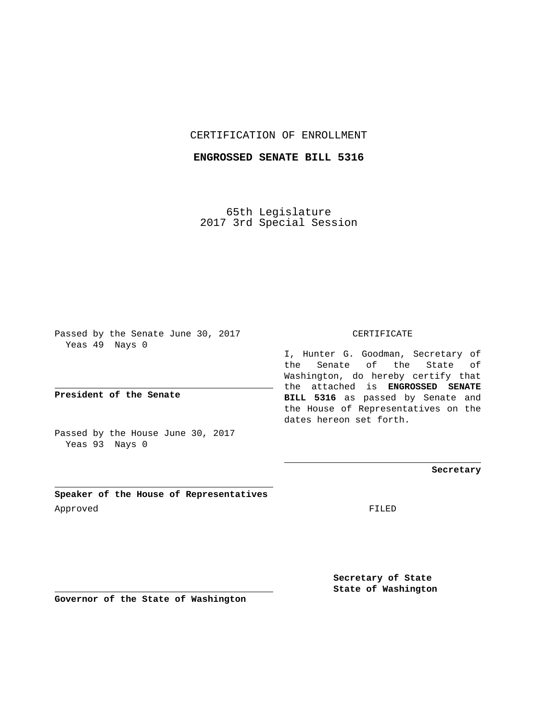## CERTIFICATION OF ENROLLMENT

## **ENGROSSED SENATE BILL 5316**

65th Legislature 2017 3rd Special Session

Passed by the Senate June 30, 2017 Yeas 49 Nays 0

**President of the Senate**

Passed by the House June 30, 2017 Yeas 93 Nays 0

**Speaker of the House of Representatives** Approved FILED

CERTIFICATE

I, Hunter G. Goodman, Secretary of the Senate of the State of Washington, do hereby certify that the attached is **ENGROSSED SENATE BILL 5316** as passed by Senate and the House of Representatives on the dates hereon set forth.

**Secretary**

**Secretary of State State of Washington**

**Governor of the State of Washington**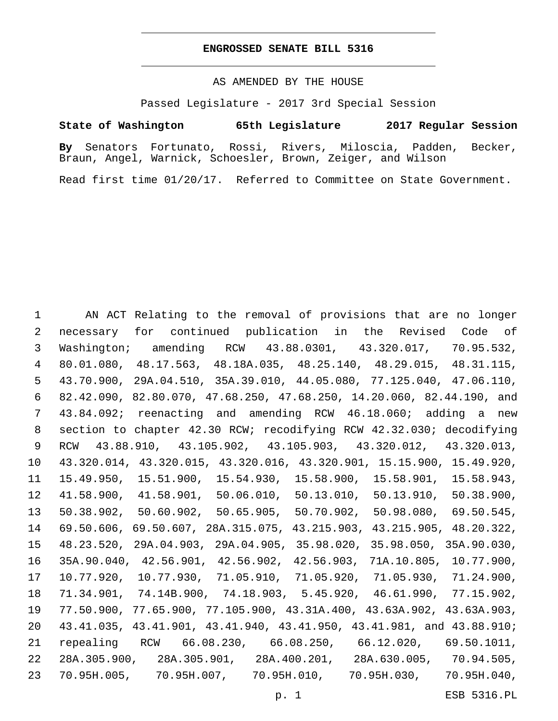## **ENGROSSED SENATE BILL 5316**

AS AMENDED BY THE HOUSE

Passed Legislature - 2017 3rd Special Session

## **State of Washington 65th Legislature 2017 Regular Session**

**By** Senators Fortunato, Rossi, Rivers, Miloscia, Padden, Becker, Braun, Angel, Warnick, Schoesler, Brown, Zeiger, and Wilson

Read first time 01/20/17. Referred to Committee on State Government.

 AN ACT Relating to the removal of provisions that are no longer necessary for continued publication in the Revised Code of Washington; amending RCW 43.88.0301, 43.320.017, 70.95.532, 80.01.080, 48.17.563, 48.18A.035, 48.25.140, 48.29.015, 48.31.115, 43.70.900, 29A.04.510, 35A.39.010, 44.05.080, 77.125.040, 47.06.110, 82.42.090, 82.80.070, 47.68.250, 47.68.250, 14.20.060, 82.44.190, and 43.84.092; reenacting and amending RCW 46.18.060; adding a new section to chapter 42.30 RCW; recodifying RCW 42.32.030; decodifying RCW 43.88.910, 43.105.902, 43.105.903, 43.320.012, 43.320.013, 43.320.014, 43.320.015, 43.320.016, 43.320.901, 15.15.900, 15.49.920, 15.49.950, 15.51.900, 15.54.930, 15.58.900, 15.58.901, 15.58.943, 41.58.900, 41.58.901, 50.06.010, 50.13.010, 50.13.910, 50.38.900, 50.38.902, 50.60.902, 50.65.905, 50.70.902, 50.98.080, 69.50.545, 69.50.606, 69.50.607, 28A.315.075, 43.215.903, 43.215.905, 48.20.322, 48.23.520, 29A.04.903, 29A.04.905, 35.98.020, 35.98.050, 35A.90.030, 35A.90.040, 42.56.901, 42.56.902, 42.56.903, 71A.10.805, 10.77.900, 10.77.920, 10.77.930, 71.05.910, 71.05.920, 71.05.930, 71.24.900, 71.34.901, 74.14B.900, 74.18.903, 5.45.920, 46.61.990, 77.15.902, 77.50.900, 77.65.900, 77.105.900, 43.31A.400, 43.63A.902, 43.63A.903, 43.41.035, 43.41.901, 43.41.940, 43.41.950, 43.41.981, and 43.88.910; repealing RCW 66.08.230, 66.08.250, 66.12.020, 69.50.1011, 28A.305.900, 28A.305.901, 28A.400.201, 28A.630.005, 70.94.505, 70.95H.005, 70.95H.007, 70.95H.010, 70.95H.030, 70.95H.040,

p. 1 ESB 5316.PL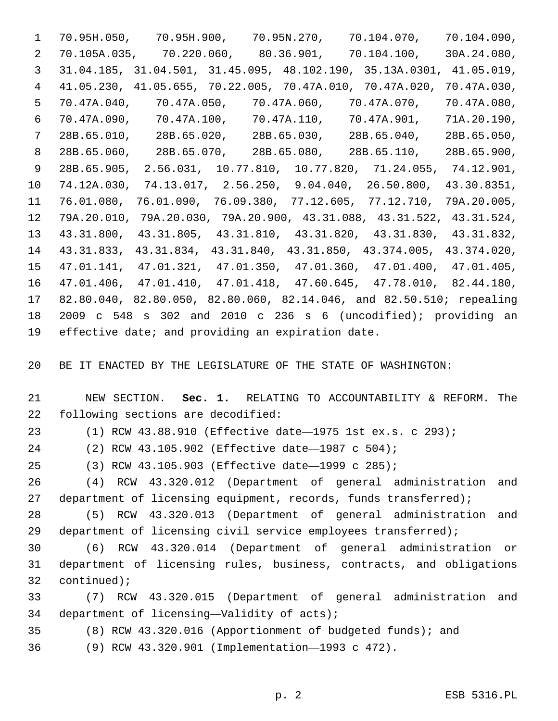70.95H.050, 70.95H.900, 70.95N.270, 70.104.070, 70.104.090, 70.105A.035, 70.220.060, 80.36.901, 70.104.100, 30A.24.080, 31.04.185, 31.04.501, 31.45.095, 48.102.190, 35.13A.0301, 41.05.019, 41.05.230, 41.05.655, 70.22.005, 70.47A.010, 70.47A.020, 70.47A.030, 70.47A.040, 70.47A.050, 70.47A.060, 70.47A.070, 70.47A.080, 70.47A.090, 70.47A.100, 70.47A.110, 70.47A.901, 71A.20.190, 28B.65.010, 28B.65.020, 28B.65.030, 28B.65.040, 28B.65.050, 28B.65.060, 28B.65.070, 28B.65.080, 28B.65.110, 28B.65.900, 28B.65.905, 2.56.031, 10.77.810, 10.77.820, 71.24.055, 74.12.901, 74.12A.030, 74.13.017, 2.56.250, 9.04.040, 26.50.800, 43.30.8351, 76.01.080, 76.01.090, 76.09.380, 77.12.605, 77.12.710, 79A.20.005, 79A.20.010, 79A.20.030, 79A.20.900, 43.31.088, 43.31.522, 43.31.524, 43.31.800, 43.31.805, 43.31.810, 43.31.820, 43.31.830, 43.31.832, 43.31.833, 43.31.834, 43.31.840, 43.31.850, 43.374.005, 43.374.020, 47.01.141, 47.01.321, 47.01.350, 47.01.360, 47.01.400, 47.01.405, 47.01.406, 47.01.410, 47.01.418, 47.60.645, 47.78.010, 82.44.180, 82.80.040, 82.80.050, 82.80.060, 82.14.046, and 82.50.510; repealing 2009 c 548 s 302 and 2010 c 236 s 6 (uncodified); providing an 19 effective date; and providing an expiration date.

BE IT ENACTED BY THE LEGISLATURE OF THE STATE OF WASHINGTON:

 NEW SECTION. **Sec. 1.** RELATING TO ACCOUNTABILITY & REFORM. The following sections are decodified:

(1) RCW 43.88.910 (Effective date—1975 1st ex.s. c 293);

(2) RCW 43.105.902 (Effective date—1987 c 504);

(3) RCW 43.105.903 (Effective date—1999 c 285);

 (4) RCW 43.320.012 (Department of general administration and 27 department of licensing equipment, records, funds transferred);

 (5) RCW 43.320.013 (Department of general administration and department of licensing civil service employees transferred);

 (6) RCW 43.320.014 (Department of general administration or department of licensing rules, business, contracts, and obligations 32 continued);

 (7) RCW 43.320.015 (Department of general administration and 34 department of licensing—Validity of  $acts)$ ;

(8) RCW 43.320.016 (Apportionment of budgeted funds); and

(9) RCW 43.320.901 (Implementation—1993 c 472).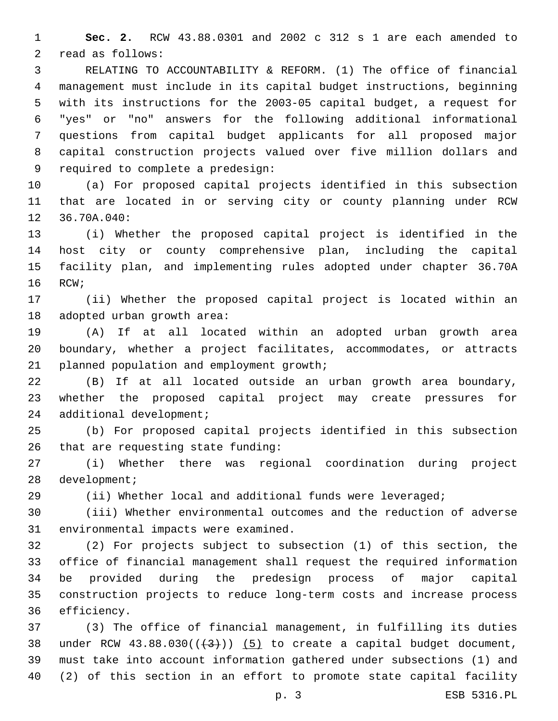**Sec. 2.** RCW 43.88.0301 and 2002 c 312 s 1 are each amended to 2 read as follows:

 RELATING TO ACCOUNTABILITY & REFORM. (1) The office of financial management must include in its capital budget instructions, beginning with its instructions for the 2003-05 capital budget, a request for "yes" or "no" answers for the following additional informational questions from capital budget applicants for all proposed major capital construction projects valued over five million dollars and 9 required to complete a predesign:

 (a) For proposed capital projects identified in this subsection that are located in or serving city or county planning under RCW 12 36.70A.040:

 (i) Whether the proposed capital project is identified in the host city or county comprehensive plan, including the capital facility plan, and implementing rules adopted under chapter 36.70A 16 RCW;

 (ii) Whether the proposed capital project is located within an 18 adopted urban growth area:

 (A) If at all located within an adopted urban growth area boundary, whether a project facilitates, accommodates, or attracts 21 planned population and employment growth;

 (B) If at all located outside an urban growth area boundary, whether the proposed capital project may create pressures for 24 additional development;

 (b) For proposed capital projects identified in this subsection 26 that are requesting state funding:

 (i) Whether there was regional coordination during project 28 development;

(ii) Whether local and additional funds were leveraged;

 (iii) Whether environmental outcomes and the reduction of adverse 31 environmental impacts were examined.

 (2) For projects subject to subsection (1) of this section, the office of financial management shall request the required information be provided during the predesign process of major capital construction projects to reduce long-term costs and increase process 36 efficiency.

 (3) The office of financial management, in fulfilling its duties 38 under RCW  $43.88.030((+3))$   $(5)$  to create a capital budget document, must take into account information gathered under subsections (1) and (2) of this section in an effort to promote state capital facility

p. 3 ESB 5316.PL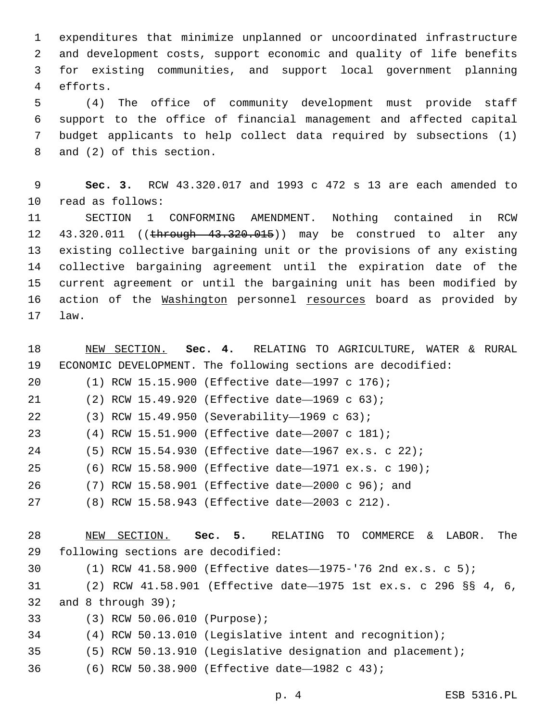expenditures that minimize unplanned or uncoordinated infrastructure and development costs, support economic and quality of life benefits for existing communities, and support local government planning efforts.4

 (4) The office of community development must provide staff support to the office of financial management and affected capital budget applicants to help collect data required by subsections (1) 8 and (2) of this section.

 **Sec. 3.** RCW 43.320.017 and 1993 c 472 s 13 are each amended to 10 read as follows:

 SECTION 1 CONFORMING AMENDMENT. Nothing contained in RCW 12 43.320.011 ((through 43.320.015)) may be construed to alter any existing collective bargaining unit or the provisions of any existing collective bargaining agreement until the expiration date of the current agreement or until the bargaining unit has been modified by 16 action of the Washington personnel resources board as provided by 17 law.

 NEW SECTION. **Sec. 4.** RELATING TO AGRICULTURE, WATER & RURAL ECONOMIC DEVELOPMENT. The following sections are decodified: (1) RCW 15.15.900 (Effective date—1997 c 176); 21 (2) RCW 15.49.920 (Effective date-1969 c 63); (3) RCW 15.49.950 (Severability—1969 c 63);22 (4) RCW 15.51.900 (Effective date—2007 c 181); (5) RCW 15.54.930 (Effective date—1967 ex.s. c 22); (6) RCW 15.58.900 (Effective date—1971 ex.s. c 190); (7) RCW 15.58.901 (Effective date—2000 c 96); and (8) RCW 15.58.943 (Effective date—2003 c 212). NEW SECTION. **Sec. 5.** RELATING TO COMMERCE & LABOR. The following sections are decodified: (1) RCW 41.58.900 (Effective dates—1975-'76 2nd ex.s. c 5); (2) RCW 41.58.901 (Effective date—1975 1st ex.s. c 296 §§ 4, 6, 32 and 8 through ; (3) RCW 50.06.010 (Purpose);33 (4) RCW 50.13.010 (Legislative intent and recognition); (5) RCW 50.13.910 (Legislative designation and placement); (6) RCW 50.38.900 (Effective date—1982 c 43);36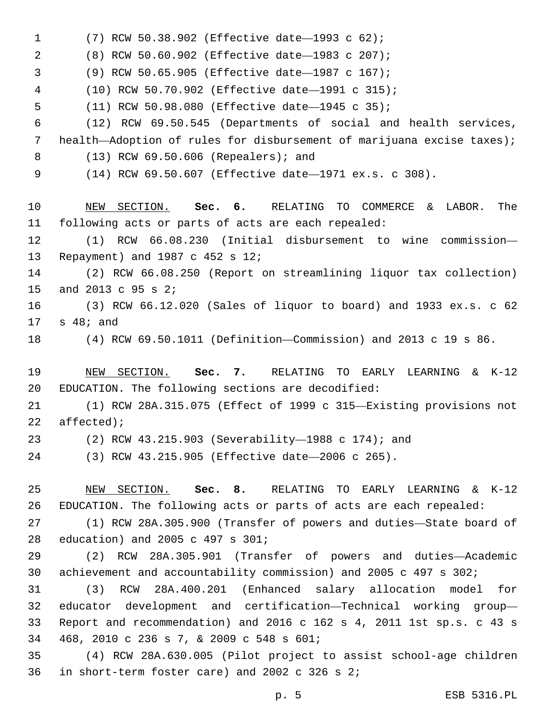(7) RCW 50.38.902 (Effective date—1993 c 62);1 (8) RCW 50.60.902 (Effective date—1983 c 207);2 (9) RCW 50.65.905 (Effective date—1987 c 167);3 (10) RCW 50.70.902 (Effective date—1991 c 315); 5 (11) RCW 50.98.080 (Effective date-1945 c 35); (12) RCW 69.50.545 (Departments of social and health services, health—Adoption of rules for disbursement of marijuana excise taxes); (13) RCW 69.50.606 (Repealers); and8 (14) RCW 69.50.607 (Effective date—1971 ex.s. c 308). NEW SECTION. **Sec. 6.** RELATING TO COMMERCE & LABOR. The following acts or parts of acts are each repealed: (1) RCW 66.08.230 (Initial disbursement to wine commission— 13 Repayment) and 1987 c 452 s 12; (2) RCW 66.08.250 (Report on streamlining liquor tax collection) 15 and 2013 c 95 s 2; (3) RCW 66.12.020 (Sales of liquor to board) and 1933 ex.s. c 62  $17 \quad s \quad 48; \text{ and}$  (4) RCW 69.50.1011 (Definition—Commission) and 2013 c 19 s 86. NEW SECTION. **Sec. 7.** RELATING TO EARLY LEARNING & K-12 EDUCATION. The following sections are decodified: (1) RCW 28A.315.075 (Effect of 1999 c 315—Existing provisions not affected); (2) RCW 43.215.903 (Severability—1988 c 174); and (3) RCW 43.215.905 (Effective date—2006 c 265). NEW SECTION. **Sec. 8.** RELATING TO EARLY LEARNING & K-12 EDUCATION. The following acts or parts of acts are each repealed: (1) RCW 28A.305.900 (Transfer of powers and duties—State board of 28 education) and 2005 c 497 s 301; (2) RCW 28A.305.901 (Transfer of powers and duties—Academic achievement and accountability commission) and 2005 c 497 s 302; (3) RCW 28A.400.201 (Enhanced salary allocation model for educator development and certification—Technical working group— Report and recommendation) and 2016 c 162 s 4, 2011 1st sp.s. c 43 s 468, 2010 c 236 s 7, & 2009 c 548 s 601;34 (4) RCW 28A.630.005 (Pilot project to assist school-age children 36 in short-term foster care) and 2002 c 326 s  $2i$ 

p. 5 ESB 5316.PL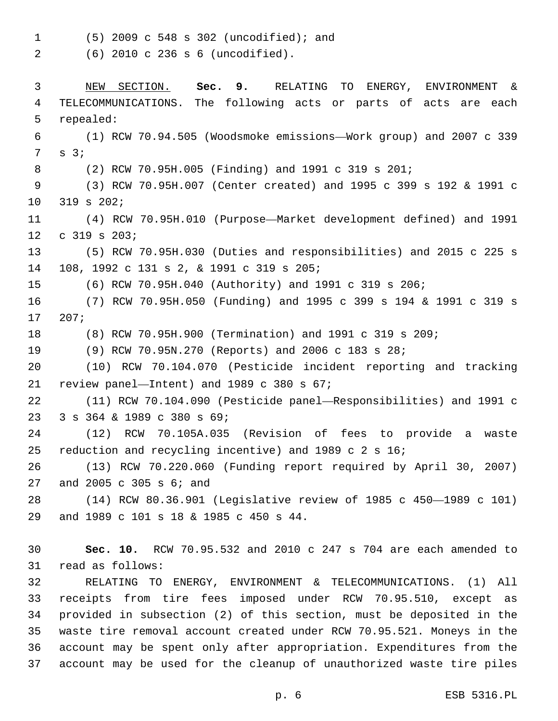(5) 2009 c 548 s 302 (uncodified); and1

(6) 2010 c 236 s 6 (uncodified).2

 NEW SECTION. **Sec. 9.** RELATING TO ENERGY, ENVIRONMENT & TELECOMMUNICATIONS. The following acts or parts of acts are each repealed: (1) RCW 70.94.505 (Woodsmoke emissions—Work group) and 2007 c 339  $7 \quad s \quad 3;7$  (2) RCW 70.95H.005 (Finding) and 1991 c 319 s 201; (3) RCW 70.95H.007 (Center created) and 1995 c 399 s 192 & 1991 c 10 319 s 202; (4) RCW 70.95H.010 (Purpose—Market development defined) and 1991  $c$  319 s 203; (5) RCW 70.95H.030 (Duties and responsibilities) and 2015 c 225 s 14 108, 1992 c 131 s 2, & 1991 c 319 s 205; (6) RCW 70.95H.040 (Authority) and 1991 c 319 s 206; (7) RCW 70.95H.050 (Funding) and 1995 c 399 s 194 & 1991 c 319 s 207;17 (8) RCW 70.95H.900 (Termination) and 1991 c 319 s 209; (9) RCW 70.95N.270 (Reports) and 2006 c 183 s 28; (10) RCW 70.104.070 (Pesticide incident reporting and tracking 21 review panel—Intent) and c 380 s  $67$ ; (11) RCW 70.104.090 (Pesticide panel—Responsibilities) and 1991 c 23 3 s 364 & 1989 c 380 s 69; (12) RCW 70.105A.035 (Revision of fees to provide a waste reduction and recycling incentive) and 1989 c 2 s 16; (13) RCW 70.220.060 (Funding report required by April 30, 2007) 27 and 2005 c 305 s 6; and (14) RCW 80.36.901 (Legislative review of 1985 c 450—1989 c 101) 29 and 1989 c 101 s 18 & 1985 c 450 s 44. **Sec. 10.** RCW 70.95.532 and 2010 c 247 s 704 are each amended to 31 read as follows: RELATING TO ENERGY, ENVIRONMENT & TELECOMMUNICATIONS. (1) All receipts from tire fees imposed under RCW 70.95.510, except as provided in subsection (2) of this section, must be deposited in the waste tire removal account created under RCW 70.95.521. Moneys in the account may be spent only after appropriation. Expenditures from the account may be used for the cleanup of unauthorized waste tire piles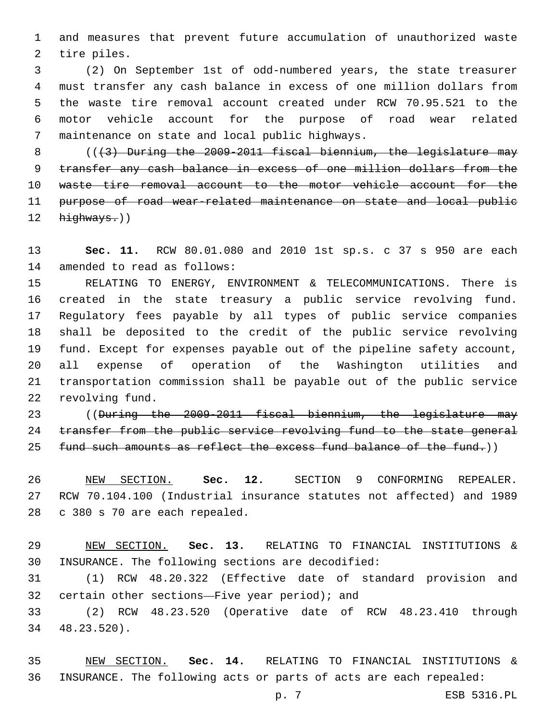and measures that prevent future accumulation of unauthorized waste 2 tire piles.

 (2) On September 1st of odd-numbered years, the state treasurer must transfer any cash balance in excess of one million dollars from the waste tire removal account created under RCW 70.95.521 to the motor vehicle account for the purpose of road wear related 7 maintenance on state and local public highways.

 $($   $($   $($   $\frac{1}{2}$   $)$  During the 2009-2011 fiscal biennium, the legislature may transfer any cash balance in excess of one million dollars from the waste tire removal account to the motor vehicle account for the purpose of road wear-related maintenance on state and local public highways.))

 **Sec. 11.** RCW 80.01.080 and 2010 1st sp.s. c 37 s 950 are each 14 amended to read as follows:

 RELATING TO ENERGY, ENVIRONMENT & TELECOMMUNICATIONS. There is created in the state treasury a public service revolving fund. Regulatory fees payable by all types of public service companies shall be deposited to the credit of the public service revolving fund. Except for expenses payable out of the pipeline safety account, all expense of operation of the Washington utilities and transportation commission shall be payable out of the public service 22 revolving fund.

 ((During the 2009-2011 fiscal biennium, the legislature may 24 transfer from the public service revolving fund to the state general 25 fund such amounts as reflect the excess fund balance of the fund.))

 NEW SECTION. **Sec. 12.** SECTION 9 CONFORMING REPEALER. RCW 70.104.100 (Industrial insurance statutes not affected) and 1989 c 380 s 70 are each repealed.

 NEW SECTION. **Sec. 13.** RELATING TO FINANCIAL INSTITUTIONS & INSURANCE. The following sections are decodified:

 (1) RCW 48.20.322 (Effective date of standard provision and 32 certain other sections—Five year period); and

 (2) RCW 48.23.520 (Operative date of RCW 48.23.410 through 48.23.520).34

 NEW SECTION. **Sec. 14.** RELATING TO FINANCIAL INSTITUTIONS & INSURANCE. The following acts or parts of acts are each repealed:

p. 7 ESB 5316.PL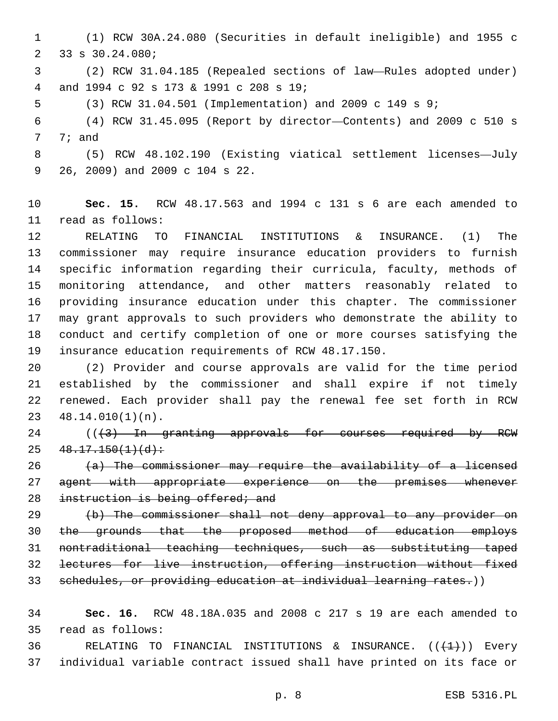(1) RCW 30A.24.080 (Securities in default ineligible) and 1955 c 2 33 s 30.24.080;

 (2) RCW 31.04.185 (Repealed sections of law—Rules adopted under) and 1994 c 92 s 173 & 1991 c 208 s 19;4

(3) RCW 31.04.501 (Implementation) and 2009 c 149 s 9;

 (4) RCW 31.45.095 (Report by director—Contents) and 2009 c 510 s 7; and

 (5) RCW 48.102.190 (Existing viatical settlement licenses—July 9 26, 2009) and 2009 c 104 s 22.

 **Sec. 15.** RCW 48.17.563 and 1994 c 131 s 6 are each amended to 11 read as follows:

 RELATING TO FINANCIAL INSTITUTIONS & INSURANCE. (1) The commissioner may require insurance education providers to furnish specific information regarding their curricula, faculty, methods of monitoring attendance, and other matters reasonably related to providing insurance education under this chapter. The commissioner may grant approvals to such providers who demonstrate the ability to conduct and certify completion of one or more courses satisfying the insurance education requirements of RCW 48.17.150.

 (2) Provider and course approvals are valid for the time period established by the commissioner and shall expire if not timely renewed. Each provider shall pay the renewal fee set forth in RCW  $48.14.010(1)(n)$ .

 ( $(\frac{43}{10}$  In granting approvals for courses required by RCW  $25 \quad 48.17.150(1)(d)$ :

 (a) The commissioner may require the availability of a licensed 27 agent with appropriate experience on the premises whenever 28 instruction is being offered; and

 (b) The commissioner shall not deny approval to any provider on the grounds that the proposed method of education employs nontraditional teaching techniques, such as substituting taped lectures for live instruction, offering instruction without fixed 33 schedules, or providing education at individual learning rates.))

 **Sec. 16.** RCW 48.18A.035 and 2008 c 217 s 19 are each amended to read as follows:35

36 RELATING TO FINANCIAL INSTITUTIONS & INSURANCE.  $((+1+))$  Every individual variable contract issued shall have printed on its face or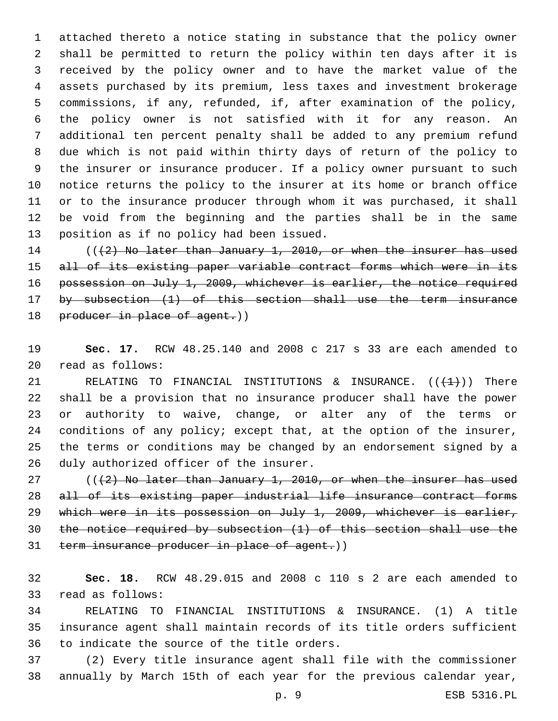attached thereto a notice stating in substance that the policy owner shall be permitted to return the policy within ten days after it is received by the policy owner and to have the market value of the assets purchased by its premium, less taxes and investment brokerage commissions, if any, refunded, if, after examination of the policy, the policy owner is not satisfied with it for any reason. An additional ten percent penalty shall be added to any premium refund due which is not paid within thirty days of return of the policy to the insurer or insurance producer. If a policy owner pursuant to such notice returns the policy to the insurer at its home or branch office or to the insurance producer through whom it was purchased, it shall be void from the beginning and the parties shall be in the same 13 position as if no policy had been issued.

14 (((2) No later than January 1, 2010, or when the insurer has used 15 all of its existing paper variable contract forms which were in its possession on July 1, 2009, whichever is earlier, the notice required by subsection (1) of this section shall use the term insurance 18 producer in place of agent.))

 **Sec. 17.** RCW 48.25.140 and 2008 c 217 s 33 are each amended to read as follows:20

21 RELATING TO FINANCIAL INSTITUTIONS & INSURANCE.  $((+1)^2)$  There shall be a provision that no insurance producer shall have the power or authority to waive, change, or alter any of the terms or conditions of any policy; except that, at the option of the insurer, the terms or conditions may be changed by an endorsement signed by a 26 duly authorized officer of the insurer.

 $((+2)$  No later than January 1, 2010, or when the insurer has used all of its existing paper industrial life insurance contract forms which were in its possession on July 1, 2009, whichever is earlier, the notice required by subsection (1) of this section shall use the 31 term insurance producer in place of agent.))

 **Sec. 18.** RCW 48.29.015 and 2008 c 110 s 2 are each amended to 33 read as follows:

 RELATING TO FINANCIAL INSTITUTIONS & INSURANCE. (1) A title insurance agent shall maintain records of its title orders sufficient 36 to indicate the source of the title orders.

 (2) Every title insurance agent shall file with the commissioner annually by March 15th of each year for the previous calendar year,

p. 9 ESB 5316.PL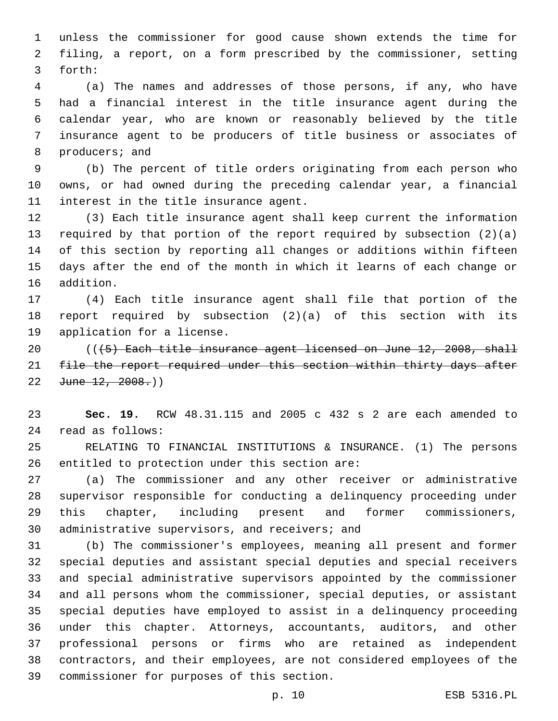unless the commissioner for good cause shown extends the time for filing, a report, on a form prescribed by the commissioner, setting 3 forth:

 (a) The names and addresses of those persons, if any, who have had a financial interest in the title insurance agent during the calendar year, who are known or reasonably believed by the title insurance agent to be producers of title business or associates of 8 producers; and

 (b) The percent of title orders originating from each person who owns, or had owned during the preceding calendar year, a financial 11 interest in the title insurance agent.

 (3) Each title insurance agent shall keep current the information required by that portion of the report required by subsection (2)(a) of this section by reporting all changes or additions within fifteen days after the end of the month in which it learns of each change or 16 addition.

 (4) Each title insurance agent shall file that portion of the report required by subsection (2)(a) of this section with its 19 application for a license.

 $($   $($   $($   $\frac{1}{5}$   $)$  Each title insurance agent licensed on June 12, 2008, shall 21 file the report required under this section within thirty days after 22  $June$   $12, 2008.$ )

 **Sec. 19.** RCW 48.31.115 and 2005 c 432 s 2 are each amended to read as follows:24

 RELATING TO FINANCIAL INSTITUTIONS & INSURANCE. (1) The persons 26 entitled to protection under this section are:

 (a) The commissioner and any other receiver or administrative supervisor responsible for conducting a delinquency proceeding under this chapter, including present and former commissioners, 30 administrative supervisors, and receivers; and

 (b) The commissioner's employees, meaning all present and former special deputies and assistant special deputies and special receivers and special administrative supervisors appointed by the commissioner and all persons whom the commissioner, special deputies, or assistant special deputies have employed to assist in a delinquency proceeding under this chapter. Attorneys, accountants, auditors, and other professional persons or firms who are retained as independent contractors, and their employees, are not considered employees of the 39 commissioner for purposes of this section.

p. 10 ESB 5316.PL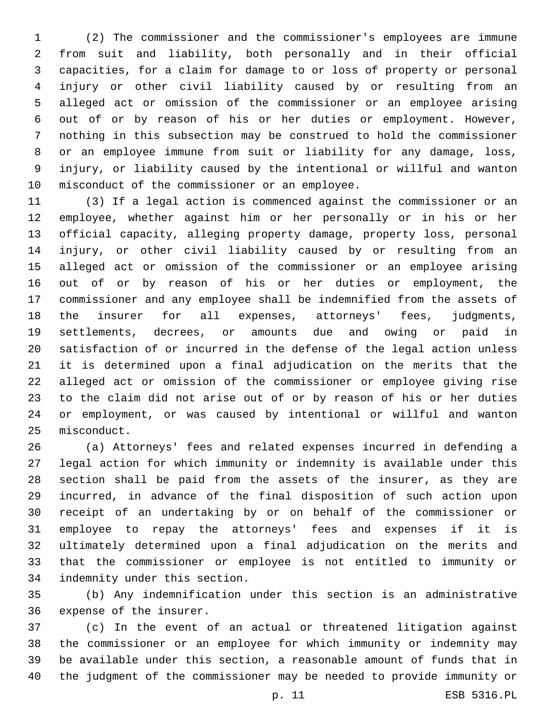(2) The commissioner and the commissioner's employees are immune from suit and liability, both personally and in their official capacities, for a claim for damage to or loss of property or personal injury or other civil liability caused by or resulting from an alleged act or omission of the commissioner or an employee arising out of or by reason of his or her duties or employment. However, nothing in this subsection may be construed to hold the commissioner or an employee immune from suit or liability for any damage, loss, injury, or liability caused by the intentional or willful and wanton 10 misconduct of the commissioner or an employee.

 (3) If a legal action is commenced against the commissioner or an employee, whether against him or her personally or in his or her official capacity, alleging property damage, property loss, personal injury, or other civil liability caused by or resulting from an alleged act or omission of the commissioner or an employee arising out of or by reason of his or her duties or employment, the commissioner and any employee shall be indemnified from the assets of the insurer for all expenses, attorneys' fees, judgments, settlements, decrees, or amounts due and owing or paid in satisfaction of or incurred in the defense of the legal action unless it is determined upon a final adjudication on the merits that the alleged act or omission of the commissioner or employee giving rise to the claim did not arise out of or by reason of his or her duties or employment, or was caused by intentional or willful and wanton 25 misconduct.

 (a) Attorneys' fees and related expenses incurred in defending a legal action for which immunity or indemnity is available under this section shall be paid from the assets of the insurer, as they are incurred, in advance of the final disposition of such action upon receipt of an undertaking by or on behalf of the commissioner or employee to repay the attorneys' fees and expenses if it is ultimately determined upon a final adjudication on the merits and that the commissioner or employee is not entitled to immunity or 34 indemnity under this section.

 (b) Any indemnification under this section is an administrative 36 expense of the insurer.

 (c) In the event of an actual or threatened litigation against the commissioner or an employee for which immunity or indemnity may be available under this section, a reasonable amount of funds that in the judgment of the commissioner may be needed to provide immunity or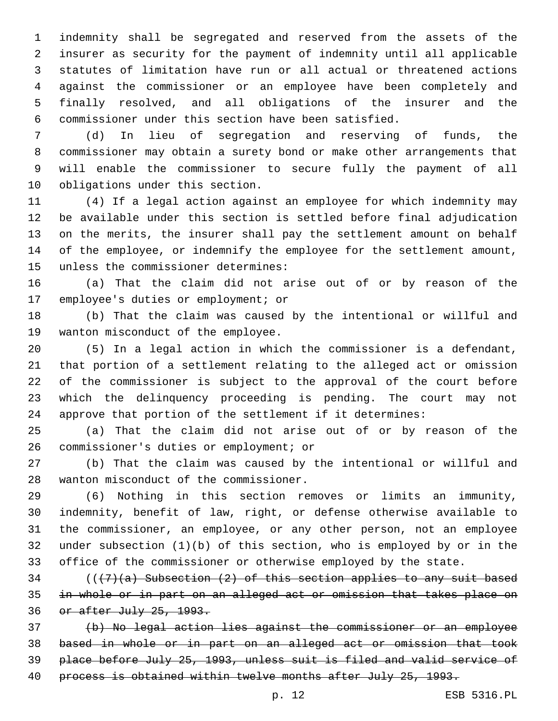indemnity shall be segregated and reserved from the assets of the insurer as security for the payment of indemnity until all applicable statutes of limitation have run or all actual or threatened actions against the commissioner or an employee have been completely and finally resolved, and all obligations of the insurer and the commissioner under this section have been satisfied.

 (d) In lieu of segregation and reserving of funds, the commissioner may obtain a surety bond or make other arrangements that will enable the commissioner to secure fully the payment of all 10 obligations under this section.

 (4) If a legal action against an employee for which indemnity may be available under this section is settled before final adjudication on the merits, the insurer shall pay the settlement amount on behalf of the employee, or indemnify the employee for the settlement amount, 15 unless the commissioner determines:

 (a) That the claim did not arise out of or by reason of the 17 employee's duties or employment; or

 (b) That the claim was caused by the intentional or willful and 19 wanton misconduct of the employee.

 (5) In a legal action in which the commissioner is a defendant, that portion of a settlement relating to the alleged act or omission of the commissioner is subject to the approval of the court before which the delinquency proceeding is pending. The court may not approve that portion of the settlement if it determines:

 (a) That the claim did not arise out of or by reason of the 26 commissioner's duties or employment; or

 (b) That the claim was caused by the intentional or willful and 28 wanton misconduct of the commissioner.

 (6) Nothing in this section removes or limits an immunity, indemnity, benefit of law, right, or defense otherwise available to the commissioner, an employee, or any other person, not an employee under subsection (1)(b) of this section, who is employed by or in the office of the commissioner or otherwise employed by the state.

 (( $(7)$  (a) Subsection (2) of this section applies to any suit based in whole or in part on an alleged act or omission that takes place on or after July 25, 1993.

 (b) No legal action lies against the commissioner or an employee based in whole or in part on an alleged act or omission that took place before July 25, 1993, unless suit is filed and valid service of 40 process is obtained within twelve months after July 25, 1993.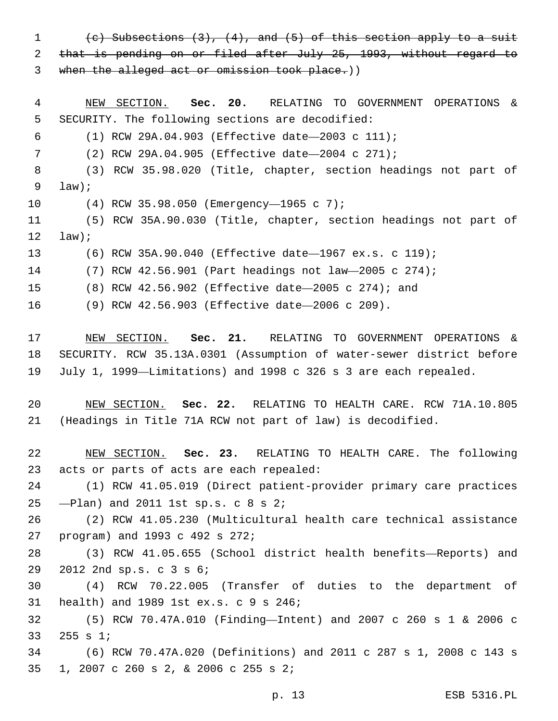1 (c) Subsections  $(3)$ ,  $(4)$ , and  $(5)$  of this section apply to a suit that is pending on or filed after July 25, 1993, without regard to 3 when the alleged act or omission took place.))

 NEW SECTION. **Sec. 20.** RELATING TO GOVERNMENT OPERATIONS & SECURITY. The following sections are decodified:

(1) RCW 29A.04.903 (Effective date—2003 c 111);

(2) RCW 29A.04.905 (Effective date—2004 c 271);

 (3) RCW 35.98.020 (Title, chapter, section headings not part of  $9 \quad \text{law}$ ;

(4) RCW 35.98.050 (Emergency—1965 c 7);10

 (5) RCW 35A.90.030 (Title, chapter, section headings not part of law);

(6) RCW 35A.90.040 (Effective date—1967 ex.s. c 119);

(7) RCW 42.56.901 (Part headings not law—2005 c 274);

(8) RCW 42.56.902 (Effective date—2005 c 274); and

(9) RCW 42.56.903 (Effective date—2006 c 209).

 NEW SECTION. **Sec. 21.** RELATING TO GOVERNMENT OPERATIONS & SECURITY. RCW 35.13A.0301 (Assumption of water-sewer district before July 1, 1999—Limitations) and 1998 c 326 s 3 are each repealed.

 NEW SECTION. **Sec. 22.** RELATING TO HEALTH CARE. RCW 71A.10.805 (Headings in Title 71A RCW not part of law) is decodified.

 NEW SECTION. **Sec. 23.** RELATING TO HEALTH CARE. The following acts or parts of acts are each repealed:

 (1) RCW 41.05.019 (Direct patient-provider primary care practices 25  $-$ Plan) and 2011 1st sp.s.  $\text{c}$  8 s 2;

 (2) RCW 41.05.230 (Multicultural health care technical assistance 27 program) and 1993 c 492 s 272;

 (3) RCW 41.05.655 (School district health benefits—Reports) and 29 2012 2nd sp.s. c 3 s 6;

 (4) RCW 70.22.005 (Transfer of duties to the department of 31 health) and 1989 1st ex.s. c 9 s 246;

 (5) RCW 70.47A.010 (Finding—Intent) and 2007 c 260 s 1 & 2006 c 33 255 s 1;

 (6) RCW 70.47A.020 (Definitions) and 2011 c 287 s 1, 2008 c 143 s 1, 2007 c 260 s 2, & 2006 c 255 s 2;35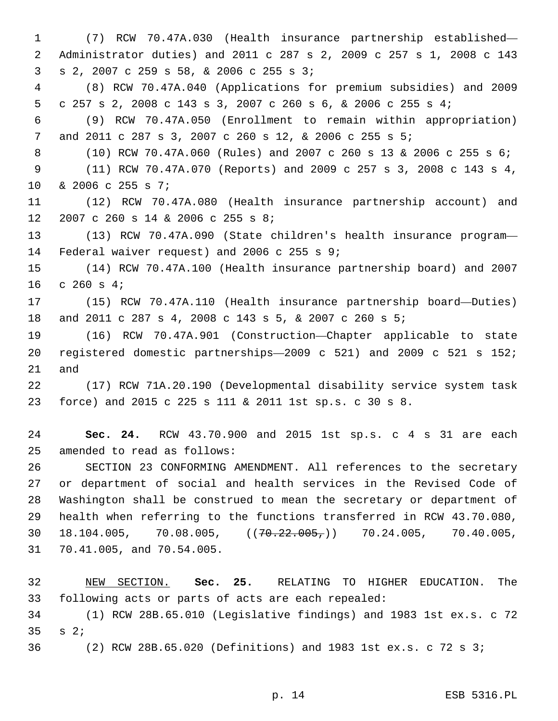(7) RCW 70.47A.030 (Health insurance partnership established— Administrator duties) and 2011 c 287 s 2, 2009 c 257 s 1, 2008 c 143 S 2, 2007 c 259 s 58, & 2006 c 255 s 3; (8) RCW 70.47A.040 (Applications for premium subsidies) and 2009 c 257 s 2, 2008 c 143 s 3, 2007 c 260 s 6, & 2006 c 255 s 4; (9) RCW 70.47A.050 (Enrollment to remain within appropriation) and 2011 c 287 s 3, 2007 c 260 s 12, & 2006 c 255 s 5; (10) RCW 70.47A.060 (Rules) and 2007 c 260 s 13 & 2006 c 255 s 6; (11) RCW 70.47A.070 (Reports) and 2009 c 257 s 3, 2008 c 143 s 4, 10 & 2006 c 255 s 7; (12) RCW 70.47A.080 (Health insurance partnership account) and 12 2007 c 260 s 14 & 2006 c 255 s 8; (13) RCW 70.47A.090 (State children's health insurance program— 14 Federal waiver request) and 2006 c 255 s 9; (14) RCW 70.47A.100 (Health insurance partnership board) and 2007 c  $260$  s  $4;$  (15) RCW 70.47A.110 (Health insurance partnership board—Duties) and 2011 c 287 s 4, 2008 c 143 s 5, & 2007 c 260 s 5; (16) RCW 70.47A.901 (Construction—Chapter applicable to state registered domestic partnerships—2009 c 521) and 2009 c 521 s 152; and (17) RCW 71A.20.190 (Developmental disability service system task force) and 2015 c 225 s 111 & 2011 1st sp.s. c 30 s 8. **Sec. 24.** RCW 43.70.900 and 2015 1st sp.s. c 4 s 31 are each 25 amended to read as follows: SECTION 23 CONFORMING AMENDMENT. All references to the secretary or department of social and health services in the Revised Code of Washington shall be construed to mean the secretary or department of

 health when referring to the functions transferred in RCW 43.70.080, 30 18.104.005, 70.08.005,  $(70.22.005, 70.24.005, 70.40.005,$ 31 70.41.005, and 70.54.005.

 NEW SECTION. **Sec. 25.** RELATING TO HIGHER EDUCATION. The following acts or parts of acts are each repealed: (1) RCW 28B.65.010 (Legislative findings) and 1983 1st ex.s. c 72 s  $2;$ (2) RCW 28B.65.020 (Definitions) and 1983 1st ex.s. c 72 s 3;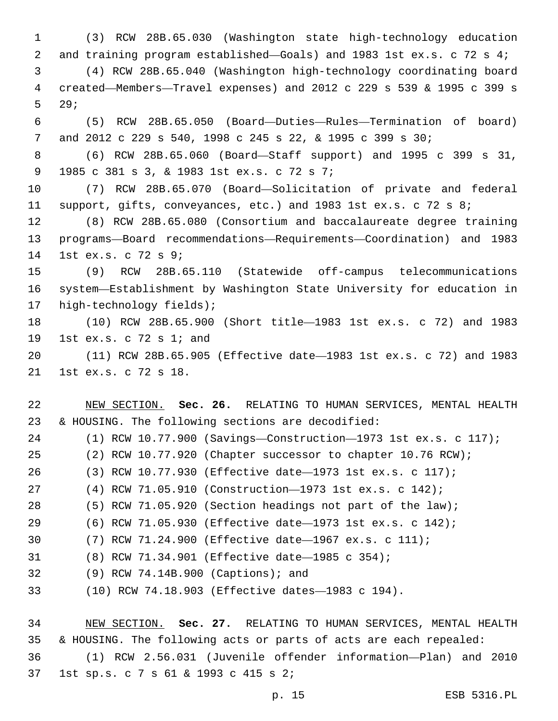(3) RCW 28B.65.030 (Washington state high-technology education and training program established—Goals) and 1983 1st ex.s. c 72 s 4; (4) RCW 28B.65.040 (Washington high-technology coordinating board created—Members—Travel expenses) and 2012 c 229 s 539 & 1995 c 399 s 5 29; (5) RCW 28B.65.050 (Board—Duties—Rules—Termination of board) and 2012 c 229 s 540, 1998 c 245 s 22, & 1995 c 399 s 30; (6) RCW 28B.65.060 (Board—Staff support) and 1995 c 399 s 31, 1985 c 381 s 3, & 1983 1st ex.s. c 72 s 7;9 (7) RCW 28B.65.070 (Board—Solicitation of private and federal 11 support, gifts, conveyances, etc.) and 1983 1st ex.s. c 72 s 8; (8) RCW 28B.65.080 (Consortium and baccalaureate degree training programs—Board recommendations—Requirements—Coordination) and 1983 14 1st ex.s. c 72 s 9; (9) RCW 28B.65.110 (Statewide off-campus telecommunications system—Establishment by Washington State University for education in 17 high-technology fields); (10) RCW 28B.65.900 (Short title—1983 1st ex.s. c 72) and 1983 19 1st ex.s. c 72 s 1; and

 (11) RCW 28B.65.905 (Effective date—1983 1st ex.s. c 72) and 1983 21 1st ex.s. c 72 s 18.

 NEW SECTION. **Sec. 26.** RELATING TO HUMAN SERVICES, MENTAL HEALTH & HOUSING. The following sections are decodified:

 (1) RCW 10.77.900 (Savings—Construction—1973 1st ex.s. c 117); (2) RCW 10.77.920 (Chapter successor to chapter 10.76 RCW); (3) RCW 10.77.930 (Effective date—1973 1st ex.s. c 117); (4) RCW 71.05.910 (Construction—1973 1st ex.s. c 142); (5) RCW 71.05.920 (Section headings not part of the law); (6) RCW 71.05.930 (Effective date—1973 1st ex.s. c 142); (7) RCW 71.24.900 (Effective date—1967 ex.s. c 111); (8) RCW 71.34.901 (Effective date—1985 c 354); (9) RCW 74.14B.900 (Captions); and32 (10) RCW 74.18.903 (Effective dates—1983 c 194).

 NEW SECTION. **Sec. 27.** RELATING TO HUMAN SERVICES, MENTAL HEALTH & HOUSING. The following acts or parts of acts are each repealed: (1) RCW 2.56.031 (Juvenile offender information—Plan) and 2010 1st sp.s. c 7 s 61 & 1993 c 415 s 2;37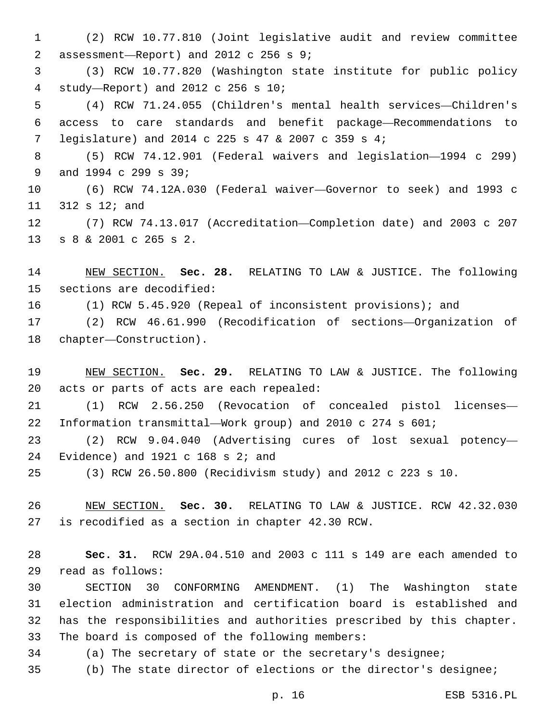(2) RCW 10.77.810 (Joint legislative audit and review committee assessment—Report) and 2012 c 256 s 9;2 (3) RCW 10.77.820 (Washington state institute for public policy study—Report) and 2012 c 256 s 10;4 (4) RCW 71.24.055 (Children's mental health services—Children's access to care standards and benefit package—Recommendations to legislature) and 2014 c 225 s 47 & 2007 c 359 s 4;7 (5) RCW 74.12.901 (Federal waivers and legislation—1994 c 299) 9 and 1994 c 299 s 39; (6) RCW 74.12A.030 (Federal waiver—Governor to seek) and 1993 c  $312 s 12;$  and (7) RCW 74.13.017 (Accreditation—Completion date) and 2003 c 207 13 s 8 & 2001 c 265 s 2. NEW SECTION. **Sec. 28.** RELATING TO LAW & JUSTICE. The following sections are decodified:

(1) RCW 5.45.920 (Repeal of inconsistent provisions); and

 (2) RCW 46.61.990 (Recodification of sections—Organization of 18 chapter—Construction).

 NEW SECTION. **Sec. 29.** RELATING TO LAW & JUSTICE. The following acts or parts of acts are each repealed:

 (1) RCW 2.56.250 (Revocation of concealed pistol licenses— Information transmittal—Work group) and 2010 c 274 s 601;

 (2) RCW 9.04.040 (Advertising cures of lost sexual potency— 24 Evidence) and c  $168$  s  $2i$  and

(3) RCW 26.50.800 (Recidivism study) and 2012 c 223 s 10.

 NEW SECTION. **Sec. 30.** RELATING TO LAW & JUSTICE. RCW 42.32.030 is recodified as a section in chapter 42.30 RCW.

 **Sec. 31.** RCW 29A.04.510 and 2003 c 111 s 149 are each amended to read as follows:29

 SECTION 30 CONFORMING AMENDMENT. (1) The Washington state election administration and certification board is established and has the responsibilities and authorities prescribed by this chapter. 33 The board is composed of the following members:

(a) The secretary of state or the secretary's designee;

(b) The state director of elections or the director's designee;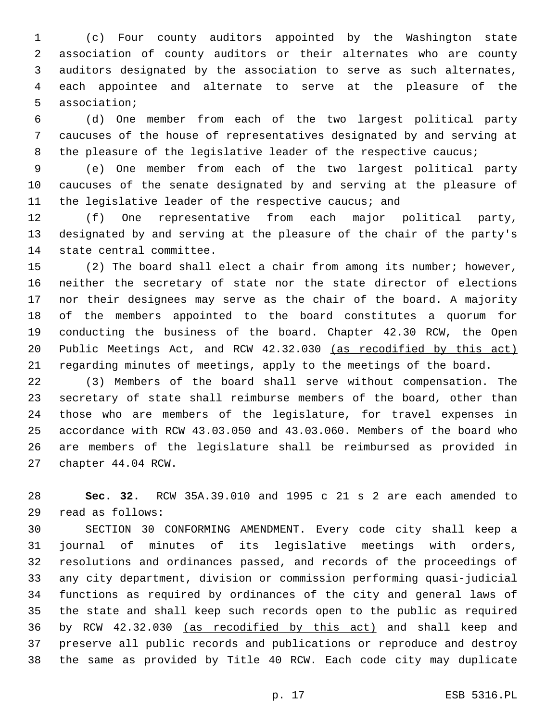(c) Four county auditors appointed by the Washington state association of county auditors or their alternates who are county auditors designated by the association to serve as such alternates, each appointee and alternate to serve at the pleasure of the 5 association;

 (d) One member from each of the two largest political party caucuses of the house of representatives designated by and serving at 8 the pleasure of the legislative leader of the respective caucus;

 (e) One member from each of the two largest political party caucuses of the senate designated by and serving at the pleasure of the legislative leader of the respective caucus; and

 (f) One representative from each major political party, designated by and serving at the pleasure of the chair of the party's 14 state central committee.

 (2) The board shall elect a chair from among its number; however, neither the secretary of state nor the state director of elections nor their designees may serve as the chair of the board. A majority of the members appointed to the board constitutes a quorum for conducting the business of the board. Chapter 42.30 RCW, the Open Public Meetings Act, and RCW 42.32.030 (as recodified by this act) regarding minutes of meetings, apply to the meetings of the board.

 (3) Members of the board shall serve without compensation. The secretary of state shall reimburse members of the board, other than those who are members of the legislature, for travel expenses in accordance with RCW 43.03.050 and 43.03.060. Members of the board who are members of the legislature shall be reimbursed as provided in 27 chapter 44.04 RCW.

 **Sec. 32.** RCW 35A.39.010 and 1995 c 21 s 2 are each amended to read as follows:29

 SECTION 30 CONFORMING AMENDMENT. Every code city shall keep a journal of minutes of its legislative meetings with orders, resolutions and ordinances passed, and records of the proceedings of any city department, division or commission performing quasi-judicial functions as required by ordinances of the city and general laws of the state and shall keep such records open to the public as required by RCW 42.32.030 (as recodified by this act) and shall keep and preserve all public records and publications or reproduce and destroy the same as provided by Title 40 RCW. Each code city may duplicate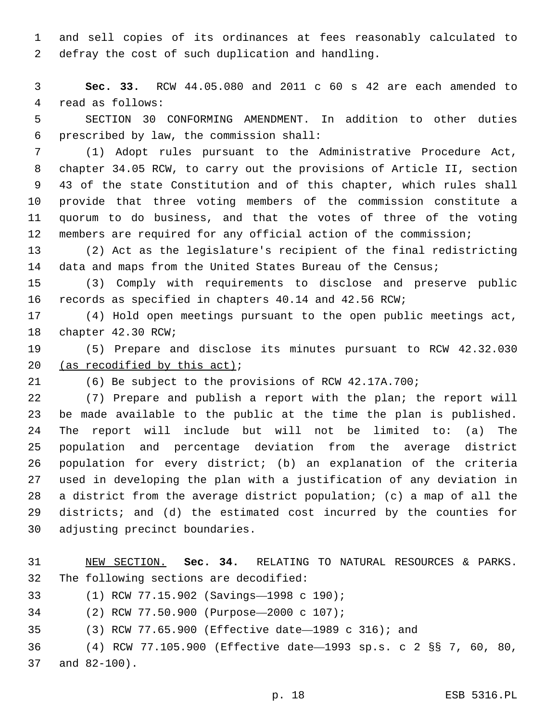and sell copies of its ordinances at fees reasonably calculated to 2 defray the cost of such duplication and handling.

 **Sec. 33.** RCW 44.05.080 and 2011 c 60 s 42 are each amended to 4 read as follows:

 SECTION 30 CONFORMING AMENDMENT. In addition to other duties prescribed by law, the commission shall:6

 (1) Adopt rules pursuant to the Administrative Procedure Act, chapter 34.05 RCW, to carry out the provisions of Article II, section 43 of the state Constitution and of this chapter, which rules shall provide that three voting members of the commission constitute a quorum to do business, and that the votes of three of the voting members are required for any official action of the commission;

 (2) Act as the legislature's recipient of the final redistricting 14 data and maps from the United States Bureau of the Census;

 (3) Comply with requirements to disclose and preserve public records as specified in chapters 40.14 and 42.56 RCW;

 (4) Hold open meetings pursuant to the open public meetings act, 18 chapter 42.30 RCW;

 (5) Prepare and disclose its minutes pursuant to RCW 42.32.030 20 (as recodified by this  $act$ );

(6) Be subject to the provisions of RCW 42.17A.700;

 (7) Prepare and publish a report with the plan; the report will be made available to the public at the time the plan is published. The report will include but will not be limited to: (a) The population and percentage deviation from the average district population for every district; (b) an explanation of the criteria used in developing the plan with a justification of any deviation in a district from the average district population; (c) a map of all the districts; and (d) the estimated cost incurred by the counties for 30 adjusting precinct boundaries.

 NEW SECTION. **Sec. 34.** RELATING TO NATURAL RESOURCES & PARKS. The following sections are decodified:

(1) RCW 77.15.902 (Savings-1998 c 190);

(2) RCW 77.50.900 (Purpose—2000 c 107);34

(3) RCW 77.65.900 (Effective date—1989 c 316); and

 (4) RCW 77.105.900 (Effective date—1993 sp.s. c 2 §§ 7, 60, 80, 37 and 82-100).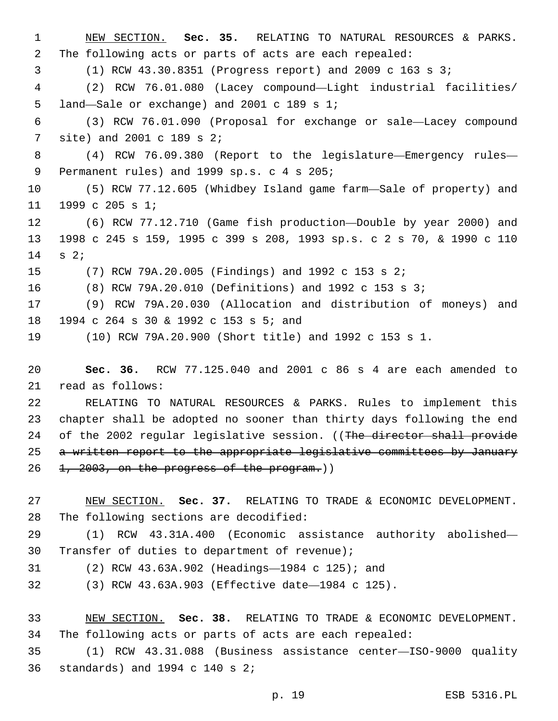NEW SECTION. **Sec. 35.** RELATING TO NATURAL RESOURCES & PARKS. The following acts or parts of acts are each repealed: (1) RCW 43.30.8351 (Progress report) and 2009 c 163 s 3; (2) RCW 76.01.080 (Lacey compound—Light industrial facilities/ 5 land—Sale or exchange) and 2001 c 189 s 1; (3) RCW 76.01.090 (Proposal for exchange or sale—Lacey compound 7 site) and 2001 c 189 s 2; (4) RCW 76.09.380 (Report to the legislature—Emergency rules— 9 Permanent rules) and 1999 sp.s. c 4 s 205; (5) RCW 77.12.605 (Whidbey Island game farm—Sale of property) and 11 1999 c 205 s 1; (6) RCW 77.12.710 (Game fish production—Double by year 2000) and 1998 c 245 s 159, 1995 c 399 s 208, 1993 sp.s. c 2 s 70, & 1990 c 110 14 s 2; (7) RCW 79A.20.005 (Findings) and 1992 c 153 s 2; (8) RCW 79A.20.010 (Definitions) and 1992 c 153 s 3; (9) RCW 79A.20.030 (Allocation and distribution of moneys) and 18 1994 c 264 s 30 & 1992 c 153 s 5; and (10) RCW 79A.20.900 (Short title) and 1992 c 153 s 1. **Sec. 36.** RCW 77.125.040 and 2001 c 86 s 4 are each amended to

21 read as follows:

 RELATING TO NATURAL RESOURCES & PARKS. Rules to implement this chapter shall be adopted no sooner than thirty days following the end 24 of the 2002 regular legislative session. ((The director shall provide 25 a written report to the appropriate legislative committees by January 1,  $2003$ , on the progress of the program.)

 NEW SECTION. **Sec. 37.** RELATING TO TRADE & ECONOMIC DEVELOPMENT. The following sections are decodified:

 (1) RCW 43.31A.400 (Economic assistance authority abolished— 30 Transfer of duties to department of revenue);

(2) RCW 43.63A.902 (Headings—1984 c 125); and31

(3) RCW 43.63A.903 (Effective date—1984 c 125).

 NEW SECTION. **Sec. 38.** RELATING TO TRADE & ECONOMIC DEVELOPMENT. The following acts or parts of acts are each repealed:

 (1) RCW 43.31.088 (Business assistance center—ISO-9000 quality standards) and 1994 c 140 s 2;36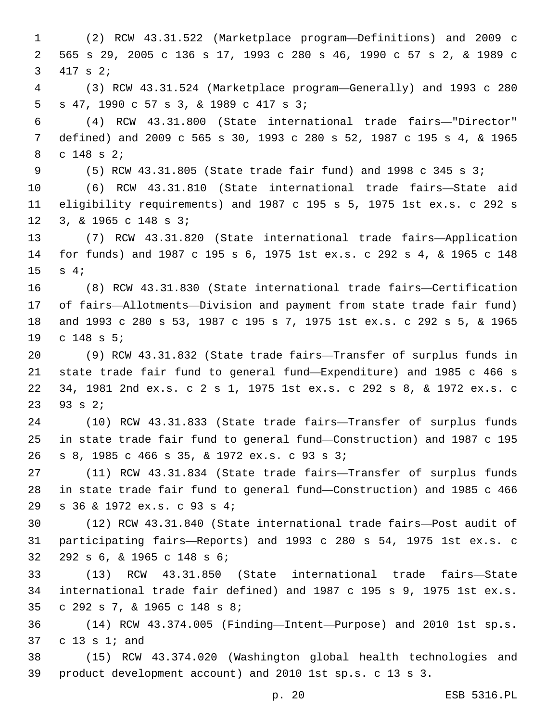(2) RCW 43.31.522 (Marketplace program—Definitions) and 2009 c 565 s 29, 2005 c 136 s 17, 1993 c 280 s 46, 1990 c 57 s 2, & 1989 c 3 417 s 2; (3) RCW 43.31.524 (Marketplace program—Generally) and 1993 c 280 5 s 47, 1990 c 57 s 3, & 1989 c 417 s 3; (4) RCW 43.31.800 (State international trade fairs—"Director" defined) and 2009 c 565 s 30, 1993 c 280 s 52, 1987 c 195 s 4, & 1965 8 c 148 s 2; (5) RCW 43.31.805 (State trade fair fund) and 1998 c 345 s 3; (6) RCW 43.31.810 (State international trade fairs—State aid eligibility requirements) and 1987 c 195 s 5, 1975 1st ex.s. c 292 s 12 3, & 1965 c 148 s 3; (7) RCW 43.31.820 (State international trade fairs—Application for funds) and 1987 c 195 s 6, 1975 1st ex.s. c 292 s 4, & 1965 c 148 15 s 4; (8) RCW 43.31.830 (State international trade fairs—Certification of fairs—Allotments—Division and payment from state trade fair fund) and 1993 c 280 s 53, 1987 c 195 s 7, 1975 1st ex.s. c 292 s 5, & 1965 19 c 148 s 5; (9) RCW 43.31.832 (State trade fairs—Transfer of surplus funds in state trade fair fund to general fund—Expenditure) and 1985 c 466 s 34, 1981 2nd ex.s. c 2 s 1, 1975 1st ex.s. c 292 s 8, & 1972 ex.s. c 23 s 2; (10) RCW 43.31.833 (State trade fairs—Transfer of surplus funds in state trade fair fund to general fund—Construction) and 1987 c 195 s 8, 1985 c 466 s 35, & 1972 ex.s. c 93 s 3;26 (11) RCW 43.31.834 (State trade fairs—Transfer of surplus funds in state trade fair fund to general fund—Construction) and 1985 c 466 s 36 & 1972 ex.s. c 93 s 4;29 (12) RCW 43.31.840 (State international trade fairs—Post audit of participating fairs—Reports) and 1993 c 280 s 54, 1975 1st ex.s. c 32 292 s 6, & 1965 c 148 s 6; (13) RCW 43.31.850 (State international trade fairs—State international trade fair defined) and 1987 c 195 s 9, 1975 1st ex.s. c 292 s 7, & 1965 c 148 s 8;35 (14) RCW 43.374.005 (Finding—Intent—Purpose) and 2010 1st sp.s. 37 c 13 s  $1$ ; and (15) RCW 43.374.020 (Washington global health technologies and product development account) and 2010 1st sp.s. c 13 s 3.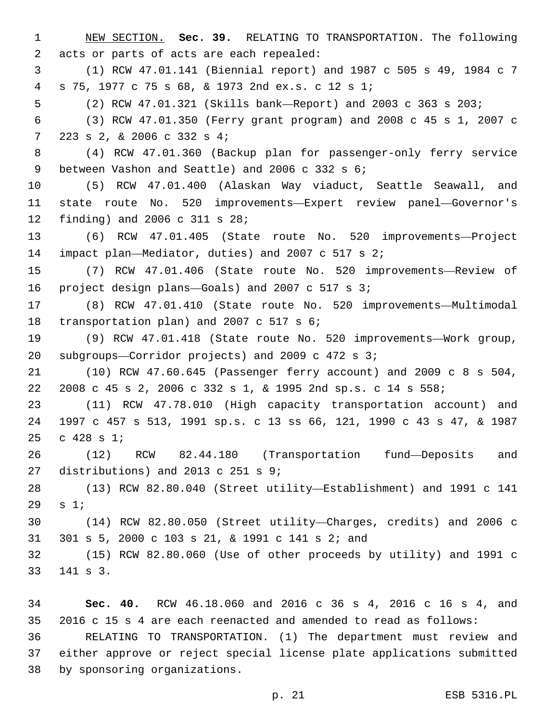NEW SECTION. **Sec. 39.** RELATING TO TRANSPORTATION. The following acts or parts of acts are each repealed: (1) RCW 47.01.141 (Biennial report) and 1987 c 505 s 49, 1984 c 7 s 75, 1977 c 75 s 68, & 1973 2nd ex.s. c 12 s 1;4 (2) RCW 47.01.321 (Skills bank—Report) and 2003 c 363 s 203; (3) RCW 47.01.350 (Ferry grant program) and 2008 c 45 s 1, 2007 c 223 s 2, & 2006 c 332 s 4;7 (4) RCW 47.01.360 (Backup plan for passenger-only ferry service 9 between Vashon and Seattle) and 2006 c 332 s 6; (5) RCW 47.01.400 (Alaskan Way viaduct, Seattle Seawall, and state route No. 520 improvements—Expert review panel—Governor's 12 finding) and 2006 c 311 s 28; (6) RCW 47.01.405 (State route No. 520 improvements—Project 14 impact plan—Mediator, duties) and 2007 c 517 s 2; (7) RCW 47.01.406 (State route No. 520 improvements—Review of 16 project design plans—Goals) and 2007 c 517 s 3; (8) RCW 47.01.410 (State route No. 520 improvements—Multimodal 18 transportation plan) and 2007 c 517 s 6; (9) RCW 47.01.418 (State route No. 520 improvements—Work group, 20 subgroups—Corridor projects) and 2009 c 472 s ; (10) RCW 47.60.645 (Passenger ferry account) and 2009 c 8 s 504, 2008 c 45 s 2, 2006 c 332 s 1, & 1995 2nd sp.s. c 14 s 558; (11) RCW 47.78.010 (High capacity transportation account) and 1997 c 457 s 513, 1991 sp.s. c 13 ss 66, 121, 1990 c 43 s 47, & 1987 25 c s 1; (12) RCW 82.44.180 (Transportation fund—Deposits and 27 distributions) and 2013 c 251 s  $9:27$  (13) RCW 82.80.040 (Street utility—Establishment) and 1991 c 141 s  $1;$  (14) RCW 82.80.050 (Street utility—Charges, credits) and 2006 c 31 301 s 5, 2000 c 103 s 21, & 1991 c 141 s 2; and (15) RCW 82.80.060 (Use of other proceeds by utility) and 1991 c 33 141 s 3.

 **Sec. 40.** RCW 46.18.060 and 2016 c 36 s 4, 2016 c 16 s 4, and 2016 c 15 s 4 are each reenacted and amended to read as follows: RELATING TO TRANSPORTATION. (1) The department must review and either approve or reject special license plate applications submitted 38 by sponsoring organizations.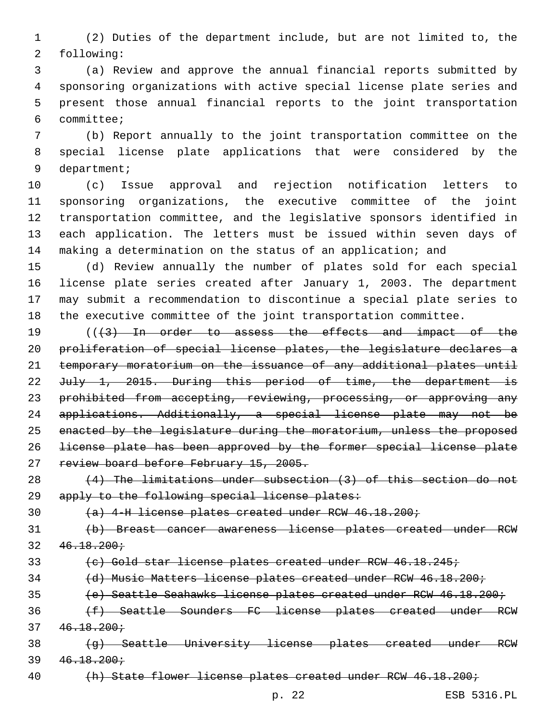(2) Duties of the department include, but are not limited to, the 2 following:

 (a) Review and approve the annual financial reports submitted by sponsoring organizations with active special license plate series and present those annual financial reports to the joint transportation committee;6

 (b) Report annually to the joint transportation committee on the special license plate applications that were considered by the 9 department;

 (c) Issue approval and rejection notification letters to sponsoring organizations, the executive committee of the joint transportation committee, and the legislative sponsors identified in each application. The letters must be issued within seven days of 14 making a determination on the status of an application; and

 (d) Review annually the number of plates sold for each special license plate series created after January 1, 2003. The department may submit a recommendation to discontinue a special plate series to the executive committee of the joint transportation committee.

19 (((43) In order to assess the effects and impact of the proliferation of special license plates, the legislature declares a temporary moratorium on the issuance of any additional plates until 22 July 1, 2015. During this period of time, the department is 23 prohibited from accepting, reviewing, processing, or approving any applications. Additionally, a special license plate may not be enacted by the legislature during the moratorium, unless the proposed license plate has been approved by the former special license plate 27 review board before February 15, 2005.

 (4) The limitations under subsection (3) of this section do not 29 apply to the following special license plates:

(a) 4-H license plates created under RCW 46.18.200;

 (b) Breast cancer awareness license plates created under RCW  $32 \quad 46.18.200 \div$ 

(c) Gold star license plates created under RCW 46.18.245;

(d) Music Matters license plates created under RCW 46.18.200;

(e) Seattle Seahawks license plates created under RCW 46.18.200;

 (f) Seattle Sounders FC license plates created under RCW  $37 \quad 46.18.200 \div$ 

38 (g) Seattle University license plates created under RCW  $39 \quad 46.18.200 \div$ 

40 (h) State flower license plates created under RCW 46.18.200;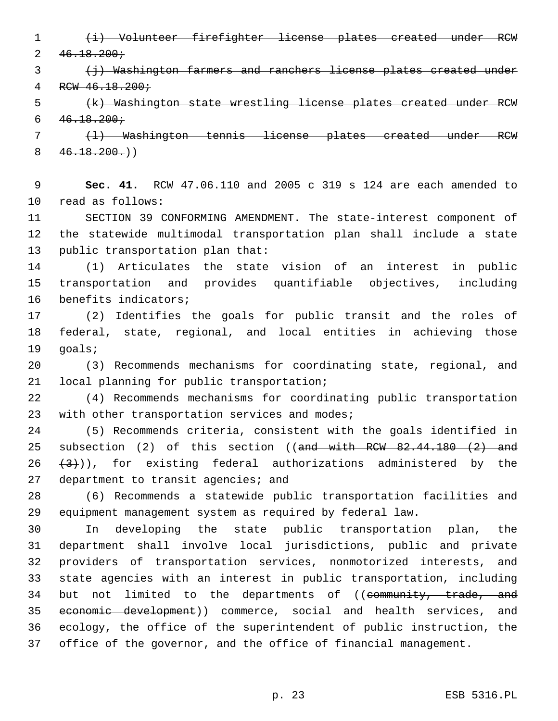(i) Volunteer firefighter license plates created under RCW  $2 \frac{46.18.200 \div \sqrt{10}}{200 \div \sqrt{10}}$ 

3 (i) Washington farmers and ranchers license plates created under RCW 46.18.200;

 (k) Washington state wrestling license plates created under RCW  $6 \quad 46.18.200 \div$ 

 (l) Washington tennis license plates created under RCW  $8 \left( 46.18.200 \cdot \right)$ 

 **Sec. 41.** RCW 47.06.110 and 2005 c 319 s 124 are each amended to 10 read as follows:

 SECTION 39 CONFORMING AMENDMENT. The state-interest component of the statewide multimodal transportation plan shall include a state 13 public transportation plan that:

 (1) Articulates the state vision of an interest in public transportation and provides quantifiable objectives, including 16 benefits indicators;

 (2) Identifies the goals for public transit and the roles of federal, state, regional, and local entities in achieving those 19 qoals;

 (3) Recommends mechanisms for coordinating state, regional, and 21 local planning for public transportation;

 (4) Recommends mechanisms for coordinating public transportation 23 with other transportation services and modes;

 (5) Recommends criteria, consistent with the goals identified in 25 subsection (2) of this section ((and with RCW 82.44.180 (2) and  $(3)$ )), for existing federal authorizations administered by the 27 department to transit agencies; and

 (6) Recommends a statewide public transportation facilities and equipment management system as required by federal law.

 In developing the state public transportation plan, the department shall involve local jurisdictions, public and private providers of transportation services, nonmotorized interests, and state agencies with an interest in public transportation, including 34 but not limited to the departments of ((community, trade, and economic development)) commerce, social and health services, and ecology, the office of the superintendent of public instruction, the office of the governor, and the office of financial management.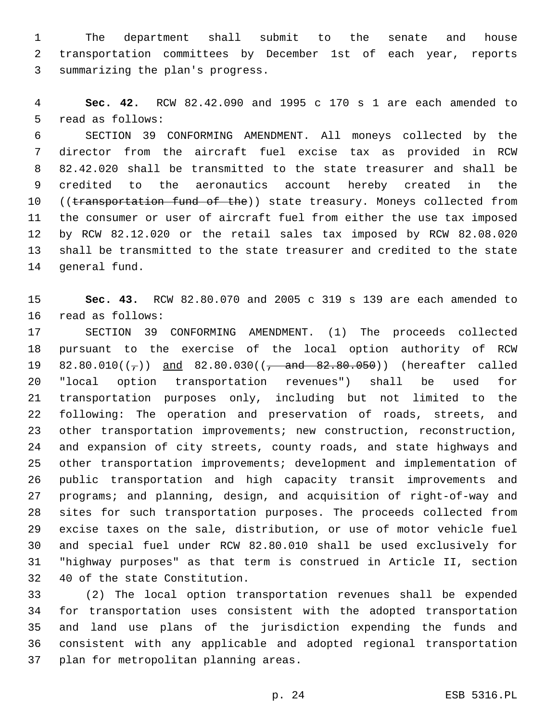The department shall submit to the senate and house transportation committees by December 1st of each year, reports 3 summarizing the plan's progress.

 **Sec. 42.** RCW 82.42.090 and 1995 c 170 s 1 are each amended to 5 read as follows:

 SECTION 39 CONFORMING AMENDMENT. All moneys collected by the director from the aircraft fuel excise tax as provided in RCW 82.42.020 shall be transmitted to the state treasurer and shall be credited to the aeronautics account hereby created in the 10 ((transportation fund of the)) state treasury. Moneys collected from the consumer or user of aircraft fuel from either the use tax imposed by RCW 82.12.020 or the retail sales tax imposed by RCW 82.08.020 shall be transmitted to the state treasurer and credited to the state 14 general fund.

 **Sec. 43.** RCW 82.80.070 and 2005 c 319 s 139 are each amended to 16 read as follows:

 SECTION 39 CONFORMING AMENDMENT. (1) The proceeds collected pursuant to the exercise of the local option authority of RCW 19 82.80.010( $(\frac{1}{7})$ ) and 82.80.030( $(\frac{1}{7})$  and 82.80.050)) (hereafter called "local option transportation revenues") shall be used for transportation purposes only, including but not limited to the following: The operation and preservation of roads, streets, and other transportation improvements; new construction, reconstruction, and expansion of city streets, county roads, and state highways and other transportation improvements; development and implementation of public transportation and high capacity transit improvements and programs; and planning, design, and acquisition of right-of-way and sites for such transportation purposes. The proceeds collected from excise taxes on the sale, distribution, or use of motor vehicle fuel and special fuel under RCW 82.80.010 shall be used exclusively for "highway purposes" as that term is construed in Article II, section 32 40 of the state Constitution.

 (2) The local option transportation revenues shall be expended for transportation uses consistent with the adopted transportation and land use plans of the jurisdiction expending the funds and consistent with any applicable and adopted regional transportation 37 plan for metropolitan planning areas.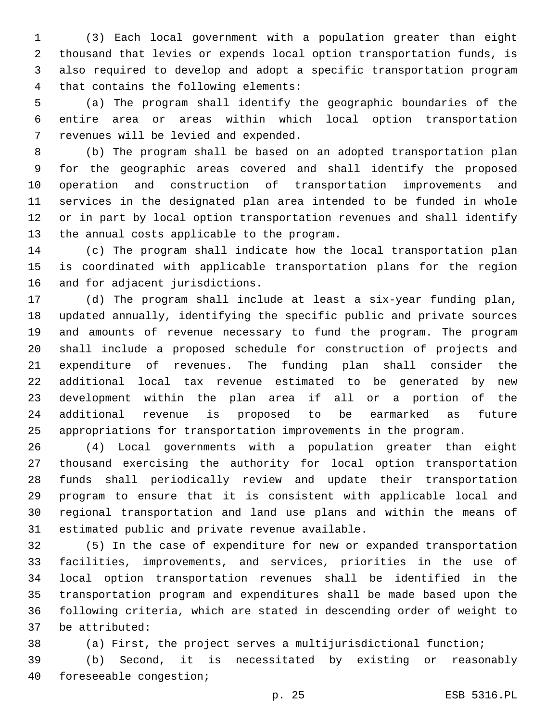(3) Each local government with a population greater than eight thousand that levies or expends local option transportation funds, is also required to develop and adopt a specific transportation program 4 that contains the following elements:

 (a) The program shall identify the geographic boundaries of the entire area or areas within which local option transportation 7 revenues will be levied and expended.

 (b) The program shall be based on an adopted transportation plan for the geographic areas covered and shall identify the proposed operation and construction of transportation improvements and services in the designated plan area intended to be funded in whole or in part by local option transportation revenues and shall identify 13 the annual costs applicable to the program.

 (c) The program shall indicate how the local transportation plan is coordinated with applicable transportation plans for the region 16 and for adjacent jurisdictions.

 (d) The program shall include at least a six-year funding plan, updated annually, identifying the specific public and private sources and amounts of revenue necessary to fund the program. The program shall include a proposed schedule for construction of projects and expenditure of revenues. The funding plan shall consider the additional local tax revenue estimated to be generated by new development within the plan area if all or a portion of the additional revenue is proposed to be earmarked as future appropriations for transportation improvements in the program.

 (4) Local governments with a population greater than eight thousand exercising the authority for local option transportation funds shall periodically review and update their transportation program to ensure that it is consistent with applicable local and regional transportation and land use plans and within the means of 31 estimated public and private revenue available.

 (5) In the case of expenditure for new or expanded transportation facilities, improvements, and services, priorities in the use of local option transportation revenues shall be identified in the transportation program and expenditures shall be made based upon the following criteria, which are stated in descending order of weight to be attributed:37

(a) First, the project serves a multijurisdictional function;

 (b) Second, it is necessitated by existing or reasonably 40 foreseeable congestion;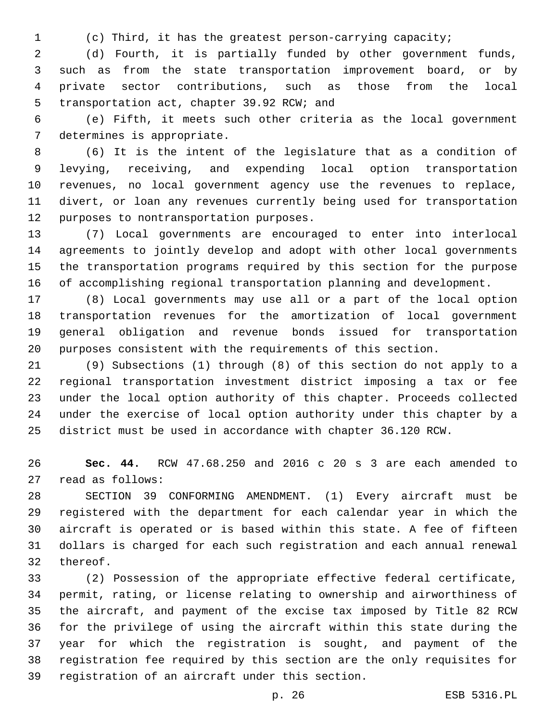(c) Third, it has the greatest person-carrying capacity;

 (d) Fourth, it is partially funded by other government funds, such as from the state transportation improvement board, or by private sector contributions, such as those from the local 5 transportation act, chapter 39.92 RCW; and

 (e) Fifth, it meets such other criteria as the local government 7 determines is appropriate.

 (6) It is the intent of the legislature that as a condition of levying, receiving, and expending local option transportation revenues, no local government agency use the revenues to replace, divert, or loan any revenues currently being used for transportation 12 purposes to nontransportation purposes.

 (7) Local governments are encouraged to enter into interlocal agreements to jointly develop and adopt with other local governments the transportation programs required by this section for the purpose of accomplishing regional transportation planning and development.

 (8) Local governments may use all or a part of the local option transportation revenues for the amortization of local government general obligation and revenue bonds issued for transportation purposes consistent with the requirements of this section.

 (9) Subsections (1) through (8) of this section do not apply to a regional transportation investment district imposing a tax or fee under the local option authority of this chapter. Proceeds collected under the exercise of local option authority under this chapter by a district must be used in accordance with chapter 36.120 RCW.

 **Sec. 44.** RCW 47.68.250 and 2016 c 20 s 3 are each amended to 27 read as follows:

 SECTION 39 CONFORMING AMENDMENT. (1) Every aircraft must be registered with the department for each calendar year in which the aircraft is operated or is based within this state. A fee of fifteen dollars is charged for each such registration and each annual renewal 32 thereof.

 (2) Possession of the appropriate effective federal certificate, permit, rating, or license relating to ownership and airworthiness of the aircraft, and payment of the excise tax imposed by Title 82 RCW for the privilege of using the aircraft within this state during the year for which the registration is sought, and payment of the registration fee required by this section are the only requisites for 39 registration of an aircraft under this section.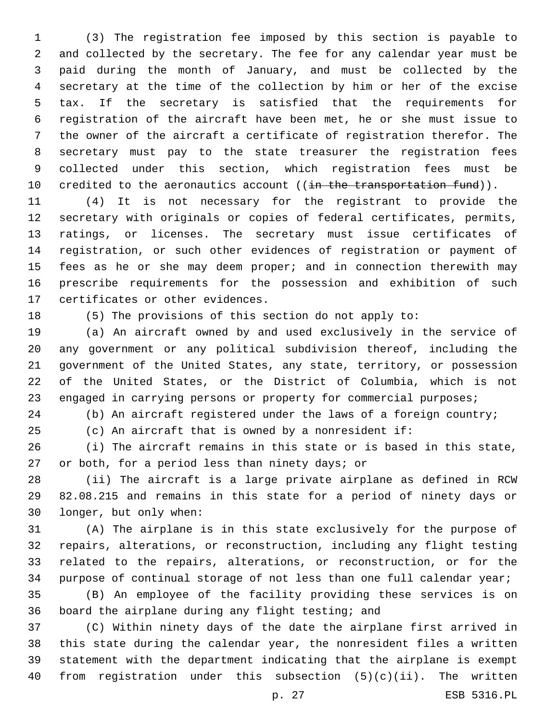(3) The registration fee imposed by this section is payable to and collected by the secretary. The fee for any calendar year must be paid during the month of January, and must be collected by the secretary at the time of the collection by him or her of the excise tax. If the secretary is satisfied that the requirements for registration of the aircraft have been met, he or she must issue to the owner of the aircraft a certificate of registration therefor. The secretary must pay to the state treasurer the registration fees collected under this section, which registration fees must be 10 credited to the aeronautics account ((in the transportation fund)).

 (4) It is not necessary for the registrant to provide the secretary with originals or copies of federal certificates, permits, ratings, or licenses. The secretary must issue certificates of registration, or such other evidences of registration or payment of 15 fees as he or she may deem proper; and in connection therewith may prescribe requirements for the possession and exhibition of such 17 certificates or other evidences.

(5) The provisions of this section do not apply to:

 (a) An aircraft owned by and used exclusively in the service of any government or any political subdivision thereof, including the government of the United States, any state, territory, or possession of the United States, or the District of Columbia, which is not 23 engaged in carrying persons or property for commercial purposes;

(b) An aircraft registered under the laws of a foreign country;

(c) An aircraft that is owned by a nonresident if:

 (i) The aircraft remains in this state or is based in this state, 27 or both, for a period less than ninety days; or

 (ii) The aircraft is a large private airplane as defined in RCW 82.08.215 and remains in this state for a period of ninety days or 30 longer, but only when:

 (A) The airplane is in this state exclusively for the purpose of repairs, alterations, or reconstruction, including any flight testing related to the repairs, alterations, or reconstruction, or for the purpose of continual storage of not less than one full calendar year;

 (B) An employee of the facility providing these services is on 36 board the airplane during any flight testing; and

 (C) Within ninety days of the date the airplane first arrived in this state during the calendar year, the nonresident files a written statement with the department indicating that the airplane is exempt from registration under this subsection (5)(c)(ii). The written

p. 27 ESB 5316.PL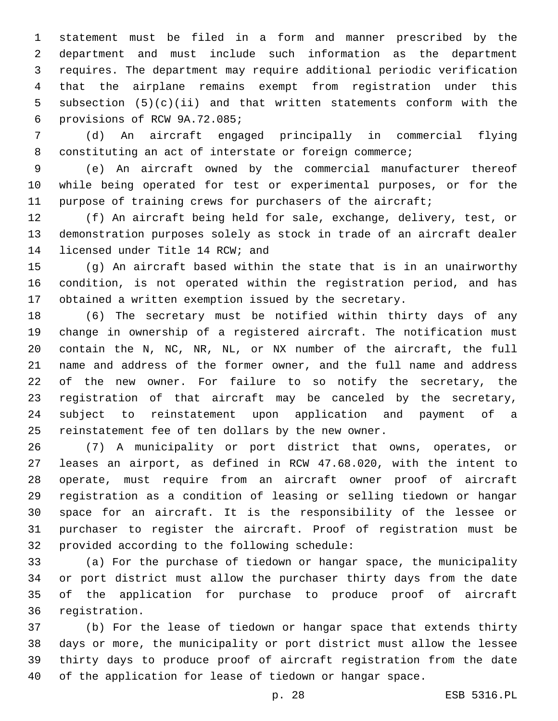statement must be filed in a form and manner prescribed by the department and must include such information as the department requires. The department may require additional periodic verification that the airplane remains exempt from registration under this subsection (5)(c)(ii) and that written statements conform with the provisions of RCW 9A.72.085;6

 (d) An aircraft engaged principally in commercial flying constituting an act of interstate or foreign commerce;

 (e) An aircraft owned by the commercial manufacturer thereof while being operated for test or experimental purposes, or for the purpose of training crews for purchasers of the aircraft;

 (f) An aircraft being held for sale, exchange, delivery, test, or demonstration purposes solely as stock in trade of an aircraft dealer 14 licensed under Title 14 RCW; and

 (g) An aircraft based within the state that is in an unairworthy condition, is not operated within the registration period, and has obtained a written exemption issued by the secretary.

 (6) The secretary must be notified within thirty days of any change in ownership of a registered aircraft. The notification must contain the N, NC, NR, NL, or NX number of the aircraft, the full name and address of the former owner, and the full name and address of the new owner. For failure to so notify the secretary, the registration of that aircraft may be canceled by the secretary, subject to reinstatement upon application and payment of a reinstatement fee of ten dollars by the new owner.

 (7) A municipality or port district that owns, operates, or leases an airport, as defined in RCW 47.68.020, with the intent to operate, must require from an aircraft owner proof of aircraft registration as a condition of leasing or selling tiedown or hangar space for an aircraft. It is the responsibility of the lessee or purchaser to register the aircraft. Proof of registration must be 32 provided according to the following schedule:

 (a) For the purchase of tiedown or hangar space, the municipality or port district must allow the purchaser thirty days from the date of the application for purchase to produce proof of aircraft 36 registration.

 (b) For the lease of tiedown or hangar space that extends thirty days or more, the municipality or port district must allow the lessee thirty days to produce proof of aircraft registration from the date of the application for lease of tiedown or hangar space.

p. 28 ESB 5316.PL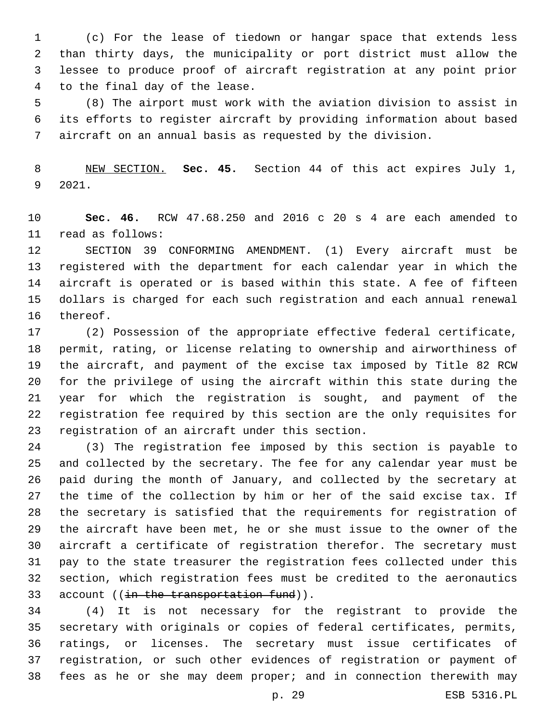(c) For the lease of tiedown or hangar space that extends less than thirty days, the municipality or port district must allow the lessee to produce proof of aircraft registration at any point prior 4 to the final day of the lease.

 (8) The airport must work with the aviation division to assist in its efforts to register aircraft by providing information about based aircraft on an annual basis as requested by the division.

 NEW SECTION. **Sec. 45.** Section 44 of this act expires July 1, 2021.

 **Sec. 46.** RCW 47.68.250 and 2016 c 20 s 4 are each amended to 11 read as follows:

 SECTION 39 CONFORMING AMENDMENT. (1) Every aircraft must be registered with the department for each calendar year in which the aircraft is operated or is based within this state. A fee of fifteen dollars is charged for each such registration and each annual renewal 16 thereof.

 (2) Possession of the appropriate effective federal certificate, permit, rating, or license relating to ownership and airworthiness of the aircraft, and payment of the excise tax imposed by Title 82 RCW for the privilege of using the aircraft within this state during the year for which the registration is sought, and payment of the registration fee required by this section are the only requisites for 23 registration of an aircraft under this section.

 (3) The registration fee imposed by this section is payable to and collected by the secretary. The fee for any calendar year must be paid during the month of January, and collected by the secretary at the time of the collection by him or her of the said excise tax. If the secretary is satisfied that the requirements for registration of the aircraft have been met, he or she must issue to the owner of the aircraft a certificate of registration therefor. The secretary must pay to the state treasurer the registration fees collected under this section, which registration fees must be credited to the aeronautics  $account$  ((in the transportation fund)).

 (4) It is not necessary for the registrant to provide the secretary with originals or copies of federal certificates, permits, ratings, or licenses. The secretary must issue certificates of registration, or such other evidences of registration or payment of fees as he or she may deem proper; and in connection therewith may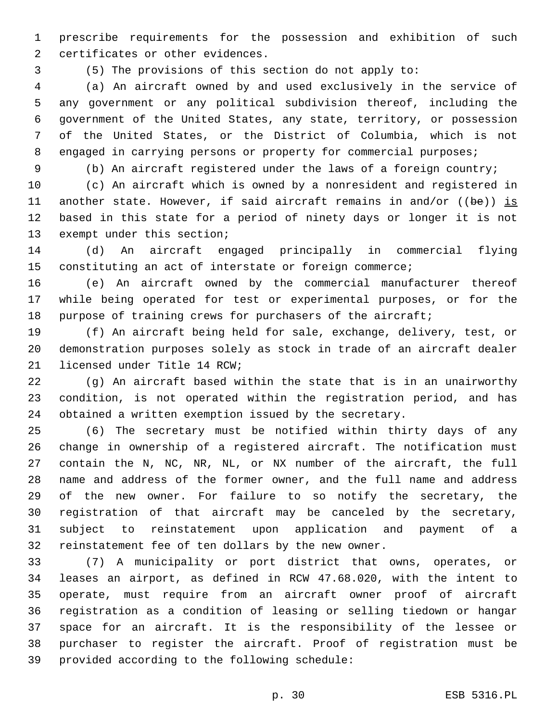prescribe requirements for the possession and exhibition of such 2 certificates or other evidences.

(5) The provisions of this section do not apply to:

 (a) An aircraft owned by and used exclusively in the service of any government or any political subdivision thereof, including the government of the United States, any state, territory, or possession of the United States, or the District of Columbia, which is not 8 engaged in carrying persons or property for commercial purposes;

(b) An aircraft registered under the laws of a foreign country;

 (c) An aircraft which is owned by a nonresident and registered in another state. However, if said aircraft remains in and/or ((be)) is based in this state for a period of ninety days or longer it is not 13 exempt under this section;

 (d) An aircraft engaged principally in commercial flying constituting an act of interstate or foreign commerce;

 (e) An aircraft owned by the commercial manufacturer thereof while being operated for test or experimental purposes, or for the purpose of training crews for purchasers of the aircraft;

 (f) An aircraft being held for sale, exchange, delivery, test, or demonstration purposes solely as stock in trade of an aircraft dealer 21 licensed under Title 14 RCW;

 (g) An aircraft based within the state that is in an unairworthy condition, is not operated within the registration period, and has obtained a written exemption issued by the secretary.

 (6) The secretary must be notified within thirty days of any change in ownership of a registered aircraft. The notification must contain the N, NC, NR, NL, or NX number of the aircraft, the full name and address of the former owner, and the full name and address of the new owner. For failure to so notify the secretary, the registration of that aircraft may be canceled by the secretary, subject to reinstatement upon application and payment of a reinstatement fee of ten dollars by the new owner.

 (7) A municipality or port district that owns, operates, or leases an airport, as defined in RCW 47.68.020, with the intent to operate, must require from an aircraft owner proof of aircraft registration as a condition of leasing or selling tiedown or hangar space for an aircraft. It is the responsibility of the lessee or purchaser to register the aircraft. Proof of registration must be 39 provided according to the following schedule: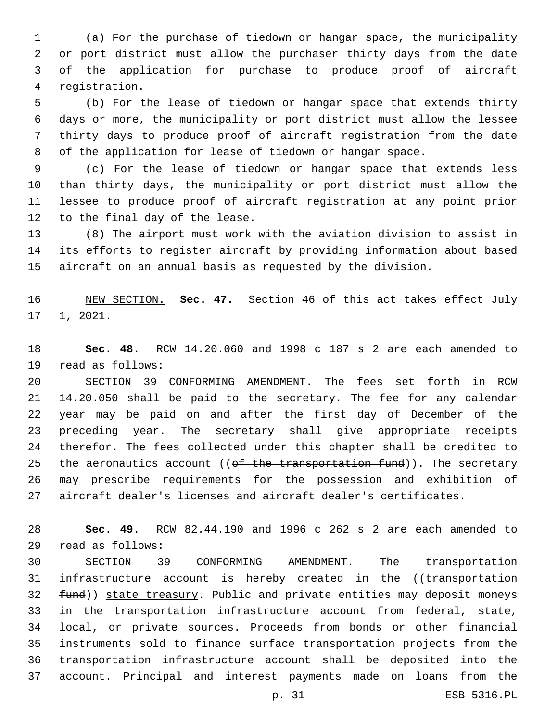(a) For the purchase of tiedown or hangar space, the municipality or port district must allow the purchaser thirty days from the date of the application for purchase to produce proof of aircraft registration.4

 (b) For the lease of tiedown or hangar space that extends thirty days or more, the municipality or port district must allow the lessee thirty days to produce proof of aircraft registration from the date of the application for lease of tiedown or hangar space.

 (c) For the lease of tiedown or hangar space that extends less than thirty days, the municipality or port district must allow the lessee to produce proof of aircraft registration at any point prior 12 to the final day of the lease.

 (8) The airport must work with the aviation division to assist in its efforts to register aircraft by providing information about based aircraft on an annual basis as requested by the division.

 NEW SECTION. **Sec. 47.** Section 46 of this act takes effect July 1, 2021.

 **Sec. 48.** RCW 14.20.060 and 1998 c 187 s 2 are each amended to 19 read as follows:

 SECTION 39 CONFORMING AMENDMENT. The fees set forth in RCW 14.20.050 shall be paid to the secretary. The fee for any calendar year may be paid on and after the first day of December of the preceding year. The secretary shall give appropriate receipts therefor. The fees collected under this chapter shall be credited to 25 the aeronautics account (( $ef$  the transportation fund)). The secretary may prescribe requirements for the possession and exhibition of aircraft dealer's licenses and aircraft dealer's certificates.

 **Sec. 49.** RCW 82.44.190 and 1996 c 262 s 2 are each amended to read as follows:29

 SECTION 39 CONFORMING AMENDMENT. The transportation 31 infrastructure account is hereby created in the ((transportation 32 fund)) state treasury. Public and private entities may deposit moneys in the transportation infrastructure account from federal, state, local, or private sources. Proceeds from bonds or other financial instruments sold to finance surface transportation projects from the transportation infrastructure account shall be deposited into the account. Principal and interest payments made on loans from the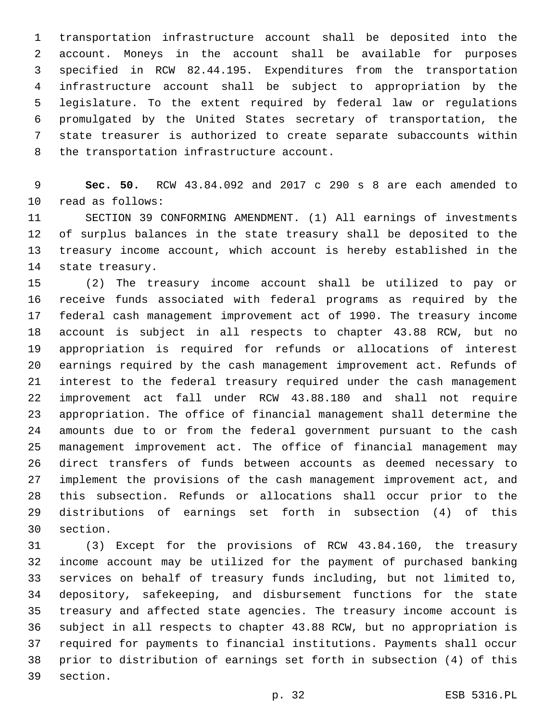transportation infrastructure account shall be deposited into the account. Moneys in the account shall be available for purposes specified in RCW 82.44.195. Expenditures from the transportation infrastructure account shall be subject to appropriation by the legislature. To the extent required by federal law or regulations promulgated by the United States secretary of transportation, the state treasurer is authorized to create separate subaccounts within 8 the transportation infrastructure account.

 **Sec. 50.** RCW 43.84.092 and 2017 c 290 s 8 are each amended to 10 read as follows:

 SECTION 39 CONFORMING AMENDMENT. (1) All earnings of investments of surplus balances in the state treasury shall be deposited to the treasury income account, which account is hereby established in the 14 state treasury.

 (2) The treasury income account shall be utilized to pay or receive funds associated with federal programs as required by the federal cash management improvement act of 1990. The treasury income account is subject in all respects to chapter 43.88 RCW, but no appropriation is required for refunds or allocations of interest earnings required by the cash management improvement act. Refunds of interest to the federal treasury required under the cash management improvement act fall under RCW 43.88.180 and shall not require appropriation. The office of financial management shall determine the amounts due to or from the federal government pursuant to the cash management improvement act. The office of financial management may direct transfers of funds between accounts as deemed necessary to implement the provisions of the cash management improvement act, and this subsection. Refunds or allocations shall occur prior to the distributions of earnings set forth in subsection (4) of this 30 section.

 (3) Except for the provisions of RCW 43.84.160, the treasury income account may be utilized for the payment of purchased banking services on behalf of treasury funds including, but not limited to, depository, safekeeping, and disbursement functions for the state treasury and affected state agencies. The treasury income account is subject in all respects to chapter 43.88 RCW, but no appropriation is required for payments to financial institutions. Payments shall occur prior to distribution of earnings set forth in subsection (4) of this 39 section.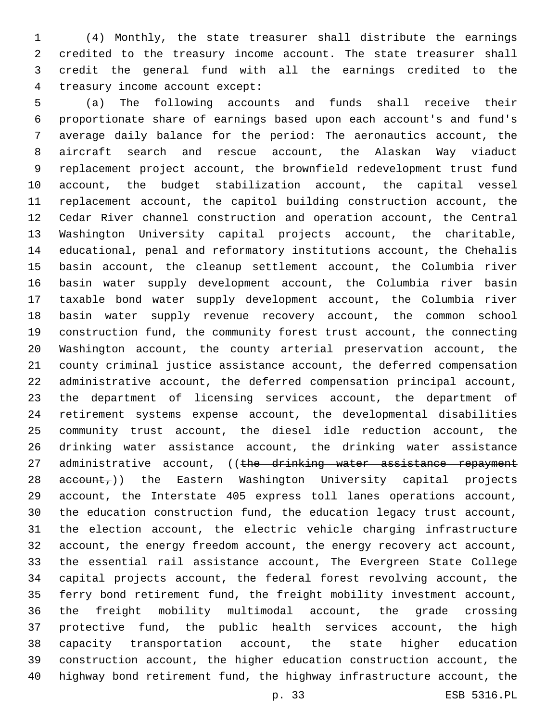(4) Monthly, the state treasurer shall distribute the earnings credited to the treasury income account. The state treasurer shall credit the general fund with all the earnings credited to the 4 treasury income account except:

 (a) The following accounts and funds shall receive their proportionate share of earnings based upon each account's and fund's average daily balance for the period: The aeronautics account, the aircraft search and rescue account, the Alaskan Way viaduct replacement project account, the brownfield redevelopment trust fund account, the budget stabilization account, the capital vessel replacement account, the capitol building construction account, the Cedar River channel construction and operation account, the Central Washington University capital projects account, the charitable, educational, penal and reformatory institutions account, the Chehalis basin account, the cleanup settlement account, the Columbia river basin water supply development account, the Columbia river basin taxable bond water supply development account, the Columbia river basin water supply revenue recovery account, the common school construction fund, the community forest trust account, the connecting Washington account, the county arterial preservation account, the county criminal justice assistance account, the deferred compensation administrative account, the deferred compensation principal account, the department of licensing services account, the department of retirement systems expense account, the developmental disabilities community trust account, the diesel idle reduction account, the drinking water assistance account, the drinking water assistance 27 administrative account, ((the drinking water assistance repayment 28 account,)) the Eastern Washington University capital projects account, the Interstate 405 express toll lanes operations account, the education construction fund, the education legacy trust account, the election account, the electric vehicle charging infrastructure account, the energy freedom account, the energy recovery act account, the essential rail assistance account, The Evergreen State College capital projects account, the federal forest revolving account, the ferry bond retirement fund, the freight mobility investment account, the freight mobility multimodal account, the grade crossing protective fund, the public health services account, the high capacity transportation account, the state higher education construction account, the higher education construction account, the highway bond retirement fund, the highway infrastructure account, the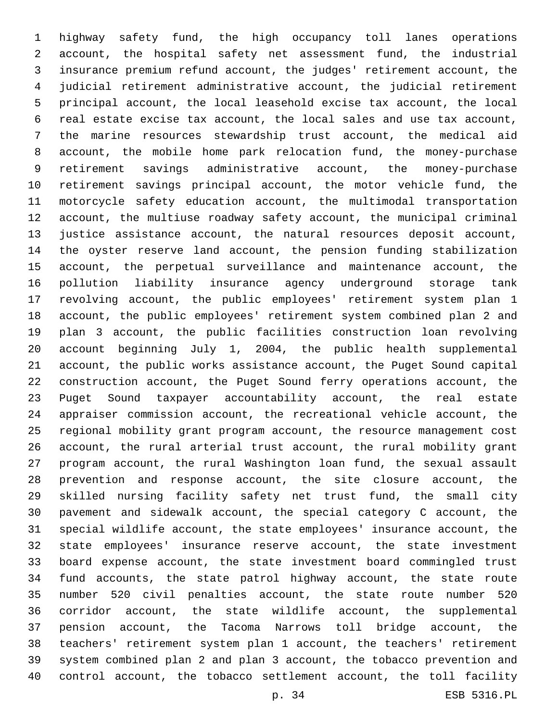highway safety fund, the high occupancy toll lanes operations account, the hospital safety net assessment fund, the industrial insurance premium refund account, the judges' retirement account, the judicial retirement administrative account, the judicial retirement principal account, the local leasehold excise tax account, the local real estate excise tax account, the local sales and use tax account, the marine resources stewardship trust account, the medical aid account, the mobile home park relocation fund, the money-purchase retirement savings administrative account, the money-purchase retirement savings principal account, the motor vehicle fund, the motorcycle safety education account, the multimodal transportation account, the multiuse roadway safety account, the municipal criminal justice assistance account, the natural resources deposit account, the oyster reserve land account, the pension funding stabilization account, the perpetual surveillance and maintenance account, the pollution liability insurance agency underground storage tank revolving account, the public employees' retirement system plan 1 account, the public employees' retirement system combined plan 2 and plan 3 account, the public facilities construction loan revolving account beginning July 1, 2004, the public health supplemental account, the public works assistance account, the Puget Sound capital construction account, the Puget Sound ferry operations account, the Puget Sound taxpayer accountability account, the real estate appraiser commission account, the recreational vehicle account, the regional mobility grant program account, the resource management cost account, the rural arterial trust account, the rural mobility grant program account, the rural Washington loan fund, the sexual assault prevention and response account, the site closure account, the skilled nursing facility safety net trust fund, the small city pavement and sidewalk account, the special category C account, the special wildlife account, the state employees' insurance account, the state employees' insurance reserve account, the state investment board expense account, the state investment board commingled trust fund accounts, the state patrol highway account, the state route number 520 civil penalties account, the state route number 520 corridor account, the state wildlife account, the supplemental pension account, the Tacoma Narrows toll bridge account, the teachers' retirement system plan 1 account, the teachers' retirement system combined plan 2 and plan 3 account, the tobacco prevention and control account, the tobacco settlement account, the toll facility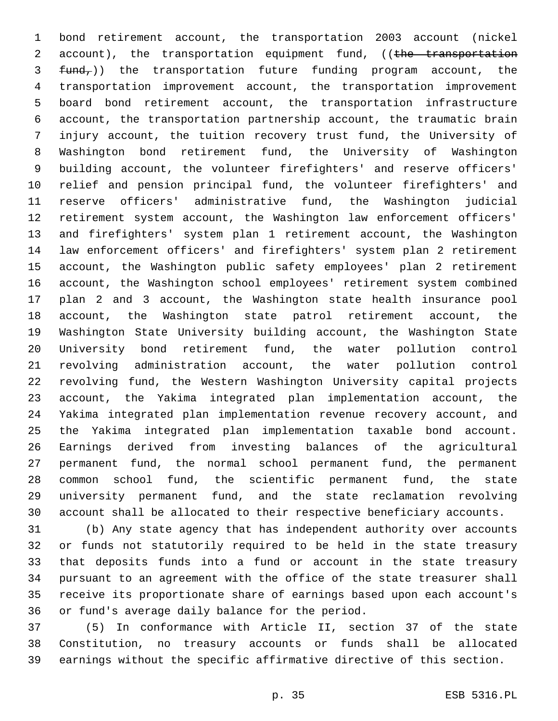bond retirement account, the transportation 2003 account (nickel 2 account), the transportation equipment fund, ((the transportation  $fund<sub>r</sub>$ )) the transportation future funding program account, the transportation improvement account, the transportation improvement board bond retirement account, the transportation infrastructure account, the transportation partnership account, the traumatic brain injury account, the tuition recovery trust fund, the University of Washington bond retirement fund, the University of Washington building account, the volunteer firefighters' and reserve officers' relief and pension principal fund, the volunteer firefighters' and reserve officers' administrative fund, the Washington judicial retirement system account, the Washington law enforcement officers' and firefighters' system plan 1 retirement account, the Washington law enforcement officers' and firefighters' system plan 2 retirement account, the Washington public safety employees' plan 2 retirement account, the Washington school employees' retirement system combined plan 2 and 3 account, the Washington state health insurance pool account, the Washington state patrol retirement account, the Washington State University building account, the Washington State University bond retirement fund, the water pollution control revolving administration account, the water pollution control revolving fund, the Western Washington University capital projects account, the Yakima integrated plan implementation account, the Yakima integrated plan implementation revenue recovery account, and the Yakima integrated plan implementation taxable bond account. Earnings derived from investing balances of the agricultural permanent fund, the normal school permanent fund, the permanent common school fund, the scientific permanent fund, the state university permanent fund, and the state reclamation revolving account shall be allocated to their respective beneficiary accounts.

 (b) Any state agency that has independent authority over accounts or funds not statutorily required to be held in the state treasury that deposits funds into a fund or account in the state treasury pursuant to an agreement with the office of the state treasurer shall receive its proportionate share of earnings based upon each account's 36 or fund's average daily balance for the period.

 (5) In conformance with Article II, section 37 of the state Constitution, no treasury accounts or funds shall be allocated earnings without the specific affirmative directive of this section.